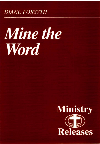### **DIANE FORSYTH**

**Mine** the **Word** 

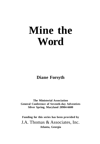# **Mine the Word**

#### **Diane Forsyth**

**The Ministerial Association General Conference of Seventh-day Adventists Silver Spring, Maryland 20904-6600** 

**Funding for this series has been provided by**  J.A. Thomas & Associates, Inc. **Atlanta, Georgia**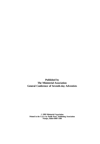**Published by The Ministerial Association General Conference of Seventh-day Adventists** 

**© 1999 Ministerial Association Printed in the U.S.A. by Pacific Press® Publishing Association Nampa, Idaho 83687-3186**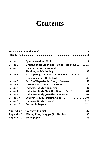### **Contents**

| <b>Lesson 1:</b>  |                                                |  |
|-------------------|------------------------------------------------|--|
| Lesson 2:         | Creative Bible Study and "Using" the Bible25   |  |
| Lesson 3:         | <b>Using a Concordance and</b>                 |  |
|                   |                                                |  |
| <b>Lesson 4:</b>  | Participating and Part 1 of Experiential Study |  |
|                   |                                                |  |
| Lesson 5:         |                                                |  |
| Lesson 6:         |                                                |  |
| <b>Lesson 7:</b>  |                                                |  |
| <b>Lesson 8:</b>  | Inductive Study (Detailed Study-Part 1) 89     |  |
| Lesson 9:         | Inductive Study (Detailed Study—Part 2) 100    |  |
| <b>Lesson 10:</b> |                                                |  |
| <b>Lesson 11:</b> |                                                |  |
| Lesson 12:        |                                                |  |
| Appendix A        |                                                |  |
| <b>Appendix B</b> | Mining Every Nugget (An Outline)132            |  |
| Appendix C        |                                                |  |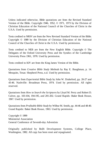Unless indicated otherwise, Bible quotations are from the Revised Standard Version of the Bible. Copyright 1946, 1952, © 1971, 1973 by the Division of Christian Education of the National Council of the Churches of Christ in the U.S.A. Used by permission.

Texts credited to NRSV are from the New Revised Standard Version of the Bible. Copyright © 1989 by the Division of Christian Education of the National Council of the Churches of Christ in the U.S.A. Used by permission.

Texts credited to NEB are from the New English Bible. Copyright © The Delegates of the Oxford University Press and the Syndics of the Cambridge University Press 1961, 1970. Used by permission.

Texts credited to KJV are from the King James Version of the Bible.

Quotations from *Creative Bible Study Methods* by Ray E. Baughman, p. 14. Mesquite, Texas: Shepherd Press, n.d. Used by permission.

Quotations from *Experiential Bible Study* by John W. Drakeford, pp. 26-27 and 43-46. Nashville: Broadman Press, 1974. Used by permission. All rights reserved.

Quotations from *How to Search the Scriptures* by Lloyd M. Perry and Robert D. Culver, pp. 103-104, 194-195, and 201-202. Grand Rapids: Baker Book House, 1967. Used by permission.

Quotations from *Profitable Bible Study* by Wilbur M. Smith, pp. 44-46 and 48-40. Grand Rapids: Baker Book House, 1963. Used by permission.

Copyright © 1999 Ministerial Association General Conference of Seventh-day Adventists

Originally published by BoDi Development Systems, College Place, Washington, 1982. All copy has been reset and repaginated.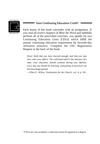The Continuing

#### Earn Continuing Education Credit\*



Each lesson of this book concludes with an assignment. If you read all twelve chapters of *Mine the Word* and faithfully perform all of the prescribed exercises, you qualify for two Continuing Education Units (CEUs) which fulfill the annual continuing education requirement for Seventh-day Adventist ministers. Complete the CEU Registration Request in the back of the book.

*Never think that you have learned enough, and that you may now relax your efforts. The cultivated mind is the measure of a man. Your education should continue during your lifetime; every day you should be learning, and putting to practical use the knowledge gained.* 

—Ellen G. White, *Testimonies for the Church,* vol. 4, p. 561.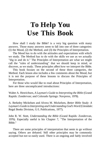### **To Help You Use This Book**

How shall I study the Bible? is a very big question with many answers. Those many answers seem to fall into one of three categories: (1) the Mood, (2) the Method, and (3) the Principles of Interpretation.

The Mood has to do with the attitudes and expectations with which we study. The Method has to do with the skills we use as we actually "dig in and do it." The Principles of Interpretation are what we might call the "rules of understanding" that we should keep in mind, or discover, as we study. These principles affect how we interpret the Bible.

This book focuses on the second of these three categories, the Method. Each lesson also includes a few comments about the Mood, but it is not the purpose of these lessons to discuss the Principles of Interpretation.

For those who would like to read about Principles of Interpretation, here are three uncomplicated introductions:

Walter A. Henrichsen, *A Layman's Guide to Interpreting the Bible* (Grand Rapids: Zondervan; and Colorado Springs: Navpress, 1978).

A. Berkeley Mickelsen and Alvera M. Mickelsen, *Better Bible Study: A Layman's Guide to Interpreting and Understanding God's Word* (Glendale: Regal Books Division, G/L Publications, 1977).

John R. W. Stott, *Understanding the Bible* (Grand Rapids: Zondervan, 1976). Especially useful is his Chapter 7, "The Interpretation of the Bible."

There are some principles of interpretation that seem to go without saying. Others are debated. Still other principles may be commonly accepted but not so easily used. There is an ongoing and fairly involved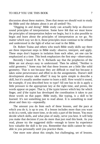discussion about these matters. Does that mean we should wait to study the Bible until the debates about it are all settled? No.

"Digging in and doing" Bible study can actually help us discover sound principles of interpretation. Some have felt that we must know the principles of interpretation *before* we begin, but it is also possible to begin and learn about the principles of interpretation as we go. No matter which way we do it, those principles must continue to be refined and understood in the light of what we read in the Bible.

Dr. Robert Traina and others who teach Bible study skills say there are three important steps in Bible study: observe, interpret, and apply. These steps don't happen in isolation from each other, yet one can be emphasized at a time. This book emphasizes the first step—observation.

Recently I heard H. M. S. Richards say that the prophecies of the Bible are not always easy to understand. Then he added, "Neither is solid geometry." Some may feel that these lessons are a little like solid geometry. That is not because they are difficult to read but because it takes some perseverance and effort to do the assignments. Doesn't skill development always take effort? It may be quite simple to describe a skill, but it's usually another matter to learn a skill. How would it sound, for example, if you described how to type? All one has to do is apply a little pressure to the appropriate key at the right time, and presto, the words appear on paper. That is, *if* the typist knows which key for which finger, and *if* the typist has developed the coordination it takes to put those words on that paper. Bible study, like typing, is a skill to be learned. It's not something just to read about. It is something to read about and then try—repeatedly.

The amount you do from each of these lessons, and the pace at which you do it, is up to you. If a lesson includes more than you want to do in a week, take more time, or do only a part of the lesson. You must decide which skills, and what plan of study, serve you best. It will help you make that decision if you do more than just read this book. As you read, please try the suggested skills—enough to know by experience how valuable the skill is for you. Remember that skills cannot be valuable to you personally until you practice them.

One more note about this simple, but challenging, set of lessons.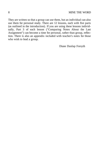They are written so that a group can use them, but an individual can also use them for personal study. There are 12 lessons, each with five parts (as outlined in the introduction). If you are using these lessons individually, Part 3 of each lesson ("Comparing Notes About the Last Assignment") can become a time for personal, rather than group, reflection. There is also an appendix included with teacher's notes for those who wish to lead a group.

Diane Dunlap Forsyth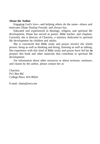#### **About the Author**

Engaging God's love—and helping others do the same—draws and motivates Diane Dunlap Forsyth, and always has.

Educated and experienced in theology, religion, and spiritual life development, Diane has served as pastor, Bible teacher, and chaplain. Currently she is director of Charistis, a ministry dedicated to spiritual life development for children and adults.

She is convinced that Bible study and prayer involve the whole person: *being* as well as thinking and doing, *listening* as well as talking. Her experience with this kind of Bible study and prayer have led her **to**  prepare this book and other materials that contribute to spiritual life development.

For information about other resources or about sermons, seminars, and classes by the author, please contact her at:

Charistis P.O. Box 462 College Place, WA 99324

E-mail: [charis@owt.com](mailto:charis@owt.com)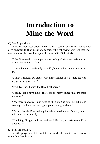## **Introduction to Mine the Word**

(1) See Appendix A.

How do you feel about Bible study? While you think about your own answers to that question, consider the following answers that indicate some of the problems people have with Bible study:

"I feel Bible study is an important part of my Christian experience, but I don't know how to do it."

"They tell me I should study the Bible, but actually I'm not sure I want to."

"Maybe I should, but Bible study hasn't helped me a whole lot with my personal problems."

"Frankly, when I study the Bible I get bored."

"I really don't have time. There are so many things that are more pressing."

"I'm more interested in witnessing than digging into the Bible and coming up with some theological points to argue about."

"I've studied the Bible so long that when I read it now it's pretty much what I've heard already."

"I'm doing all right, and yet I feel my Bible study experience could be a lot better."

(2) See Appendix A.

It is the *purpose* of this book to reduce the difficulties and increase the rewards of Bible study.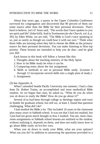#### INTRODUCTION TO MINE THE WORD 11

About four years ago, a pastor in the Upper Columbia Conference surveyed his congregation and discovered that 90 percent of them use some source other than the Bible for their personal devotions. That's hard to believe, isn't it? Jesus said, "The words that I have spoken to you are spirit and life" (John 6:63). And in *Testimonies for the Church,* vol. 6, p. 393, by Ellen White, we are told, "The Bible is God's voice speaking to us, just as surely as though we could hear it with our ears." Think what those folks are missing when they fail to choose the Bible as the primary source for their personal devotions. You can make listening to Him top priority. These lessons are intended to help you do that—and be glad you did!

Each lesson in this book will follow a format like this:

- 1. Thoughts about the teaching ministry of the Holy Spirit.
- 2. How to let Bible study be what it can be.
- 3. Comparing notes about the last assignment.
- 4. Skills or methods to use in personal Bible study. (Lessons 6 through 12 incorporate several skills into a single plan of study.)
- 5. Assignment.
- (3) See Appendix A.

When I attended Seattle Pacific University one summer, I had a class from Dr. Robert Traina, an accomplished and most methodical Bible student. As we began that class, he asked us, "What do you do when you sit down to study the Bible? How do you go about it?"

Several of us had been through college as theology majors and were in Seattle for graduate school, but still we, at least J, found that question challenging. What *did* I do?

I had studied the Bible a lot. This included 16 years in the classroom plus many years in Sabbath school. It was not that I had not studied, but I just had not given much thought to *how* I studied. You see, most classroom assignments or Sabbath school lessons are outlined so the student, without realizing it, depends on them, and does not really know how to go about Bible study on his/her own.

When you sit down to study your Bible, what are your options? What can you do? In addition to answering the questions provided in a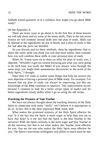Sabbath school quarterly or in a syllabus, how might you go about Bible study?

#### (4) See Appendix A.

There are many ways to go about it. In the first five of these lessons we will talk about and try some of the many skills. Then in the last seven lessons we will combine several skills into one plan of study. Skills can be likened to the ingredients we put in bread, and a plan of study is like the loaf after the parts are blended.

As you discuss and try these methods, shop for ingredients; that is, select the study skills you think you will find most useful; then consider how you will combine these skills in your personal plan of study.

When Dr. Traina went on to show us what his plan of study was, I objected. "Wouldn't it get too routine knowing just what you were going to do each time you study the Bible? If you always went through the same steps you might limit spontaneous discoveries or the work of the Holy Spirit," I thought.

Since then I've come to realize some things that help me answer my own objection to having a personal plan of Bible study. For example, I've learned that my plan of study can always be improving, just like my knowledge of the Bible continues to improve. This improvement occurs because I continue to look for a better recipe (plan of study) and for better ingredients (study skills) while I go on using the old recipe.

#### **Practicing the Presence of Your Teacher**

We have not always thought about the teaching ministry of the Holy Spirit in connection with study "skills," yet I believe it is appropriate to do so. In fact, this is the most important Bible study skill.

What makes the promised ministry of the Holy Spirit effective for *you?* Is it the fact that the Spirit is more eager to help than you are to have this help? Is it the fact that the Spirit is the best Teacher in the universe? Well, the Spirit certainly is the most eager and best Teacher in all the universe, but that is not what makes this Teacher most effective for you. *You* are the one who makes the Holy Spirit most effective for you. The Spirit's marvelous willingness and ability to teach must be met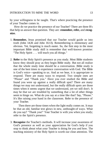by your willingness to be taught. That's where practicing the presence of your Teacher comes in.

How do we practice the presence of our Teacher? There are three R's that help us answer that question. They are: **remember, refer,** and **recognize.** 

- 1. **Remember,** Jesus promised that our Teacher would guide us into truth (John 14:26 and John 16:13). Remembering is elementary and obvious. Yet, forgetting is much easier. So, the first step in the most important Bible study skill is remember that well-known promise: "The Holy Spirit . . . will teach you all things."
- 2. **Refer** to the Holy Spirit's presence as you study. Most Bible students know they should pray as they begin Bible study. But not all realize that the whole study time should be a conversation. Bible study is one of the best times to experience conversation with God. The Bible is God's voice—speaking to us. And as we hear, it is appropriate to respond. There are many ways to respond. Two simple ones are "Please" and "Thank you." Have you ever studied the Bible and found you were up against a really difficult spot? There are many things we may not understand, but the really difficult spots are those times when it seems urgent that we understand, yet we still don't. It may be that we are troubled by something that a lot of other things seem to hinge on. What do you say at a time like that? Say, "Please." It's like raising your hand in the classroom. Refer to the presence of your Teacher.

Then there are those times when the light really comes on. It may be that an old, familiar text glows in new, unthought-of ways. What do you say? "Thank you!" Your Teacher is with you when you study; refer to the Spirit's presence.

3. **Recognize** the Teacher's methods. It will increase your awareness of God's presence as well as your appreciation for God's help if you stop to think about what your Teacher is doing for you and how. The teaching ministry of the Holy Spirit is worth our close attention. The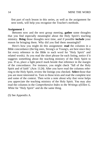first part of each lesson in this series, as well as the assignment for next week, will help you recognize the Teacher's methods.

#### **Assignment 1**

Between now and the next group meeting, **gather** some thoughts that you find especially meaningful about the Holy Spirit's teaching ministry. **Bring** those thoughts next time, and if possible **include** your reason for bringing them. Why did you find them meaningful?

Here's how you might do this assignment: **read** the columns in a Bible concordance (the big ones, Strong's or Young's, are best since they list every reference in the Bible to each word for "Holy Spirit" and related words). As you read the short phrase for each listing, notice if it suggests something about the teaching ministry of the Holy Spirit to you. If so, place a light pencil mark beside that reference in the margin of the concordance. For instance, you might check "full of the Holy Spirit and of faith" (Acts 11:24). After you have read the columns referring to the Holy Spirit, review the listings you checked. **Select** those that you are most interested in. Turn to those texts and read the complete text and some of the context. Then write a note about why that verse helps you appreciate the teaching ministry of the Holy Spirit. You may also read the columns in the *Comprehensive Index to the Writings of Ellen G. White* for "Holy Spirit" and do the same thing.

(5) See Appendix A.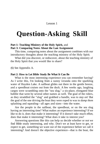#### Lesson 1

### **Question-Asking Skill**

#### **Part 1: Teaching Ministry of the Holy Spirit,** and **Part 3: Comparing Notes About the Last Assignment**

This time, comparing notes about the assignment combines with our introductory thoughts about the teaching ministry of the Holy Spirit.

What did you discover, or rediscover, about the teaching ministry of the Holy Spirit that you would like to share?

(6) See Appendix A.

#### **Part 2: How to Let Bible Study Be What It Can Be**

What is the most interesting experience you can remember having? As I write this, I'm looking from a sunny veranda onto the sparkling water of Hayden Lake. A sailboat glides out there in the gentle breeze, and a speedboat cruises out from the dock. A few weeks ago, laughing cargos were scrambling onto the "sea slug," a six-place, elongated blue bubble that went by several other names as well. The goal of the riders, as they straddled the "slug" and grabbed a handle, was to *stay on!* But the goal of the one driving the boat they were roped to was to *dump them*  splashing and squealing—all ages and sizes—into the water.

Are the people in the sailboat, the speedboat, or on the sea slug having an interesting time? What makes an experience interesting? If we like to do it, does that make it interesting? If it doesn't take much effort, does that make it interesting? What does it take to interest you?

Answering questions like this can help us decide whether or not we find Bible study interesting, and why. Don't we at least have to get, or expect to get, something we want out of the experience before we call it interesting? And doesn't the objective experience—that is the boat, the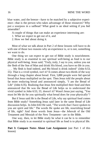blue water, and the breeze—have to be matched by a subjective experience—that is the person who takes advantage of those resources? Why put a sourpuss in a sailboat? What good is an ideal setting if you feel miserable?

A couple of things that can make an experience interesting are:

1. What we expect to get out of it, and

2. How we feel about doing it.

Most of what we talk about in Part 2 of these lessons will have to do with one of those two reasons why an experience is, or is not, something we want to do.

One thing we can expect to get out of Bible study is nourishment. Bible study is as essential to our spiritual well-being as food is to our physical well-being. Jesus said, "Truly, truly, I say to you, unless you eat the flesh of the Son of Man and drink His blood, you have no life in you. . . . My flesh is food indeed, and My blood is drink indeed" (John 6:53, *55).* That is a vivid symbol, isn't it? It comes about two-thirds of the way through a long chapter about bread. First, 5,000 people were fed special bread that Jesus multiplied on the spot. Then Jesus told the people about far more enduring bread and announced simply, "I am the Bread of Life" (John 6:35). Realizing that Jesus first multiplied their food and then announced that He was the Bread of Life helps us to understand the vivid symbol in John 6:53, *55,* doesn't it? Wasn't Jesus just saying, "You must let Me do for you spiritually what bread does for your physically"?

But if Jesus said *He* is the Bread of Life, why say spiritual food comes from Bible study? Something Jesus said later in the same Bread of Life discussion helps. In John 6:63 He said, "The words that I have spoken to you are spirit and life." The words He spoke are life, nourishing bread of life, right? And those words from Jesus—the Jehovah of the Old Testament and Messiah of the New Testament—are in the Bible.

One way, then, to let Bible study be what it can be is to remember that Bible study is as essential to spiritual life as food is to physical life.

#### **Part 3: Compare Notes About Last Assignment** (see Part 1 of this lesson)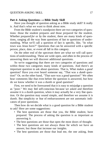#### **Part 4: Asking Questions—**a **Bible Study Skill**

Have you thought of question asking as a Bible study skill? It really is. And that's what we want to think about now.

From the Bible student's standpoint there are two categories of questions: those the student prepares and those prepared for the student. Whether prepared *for* or *by* the student, there are many kinds of questions, ranging all the way from questions of fact to questions of understanding. What we'll call a question of fact is specific, like, "In what town was Jesus born?" Questions that can be answered with a specific person, place, date, or event all fall in this category.

On the other end of the spectrum there are what we will call questions of understanding. These are wide open, and often in the process of answering them we will discover additional questions.

So we're suggesting that there are two categories of questions and within those two categories many kinds of questions. And there's an important question to ask about questions. That is, What makes a *good*  question? Have you ever heard someone say, "That was a *dumb* question!" Or, on the other hand, "That sure was a *good* question!" We often hear comments like that even before the question is answered, but how do we know whether it was a dumb or good question?

First, we need to be forewarned that it is easy to misjudge a question as "poor." We may feel self-conscious because we asked and therefore assume it is a dumb question, when it may actually be a very fine question. Or the question may sound simple, and therefore we assume it is dumb. But simplicity or fear of embarrassment are not automatic indicators of poor questions.

Then how do we decide what is a good question for a Bible student to ask? Here are some suggestions:

- The best questions are those that you, the Bible student, have prepared. The process of asking the question is as important as answering it.
- The best questions are those that open the most doors of thought.
- The best questions are not always those for which we have an answer, but those that increase our insights.
- The best questions are those that lead me, the one asking, from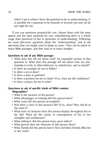where I am to where I have the potential to be in understanding. It is possible for a question to be beneath or beyond you and yet be just right for me.

If you use questions prepared *for* you, choose those with the most appeal and the most potential for you, remembering there is a whole range from questions of fact to questions of understanding. Following are some discovery questions (from the ''understanding'' end of the spectrum) that you might want to adopt as yours. They can be asked of many Bible passages, and they lead us to many insights:

#### **Questions to ask of any Bible passage:**

- What does this tell me about God? An expanded version of that question is: What does this passage tell me about God, my relationship to God, to other believers, to unbelievers, and to myself?
- Is there an example for me to follow?
- Is there a sin to shun?
- Is there a duty to perform?
- Is there a promise for me to claim? If so, what are the conditions?
- Is there a prayer for me to echo?

#### **Questions to ask of specific kinds of Bible content: Biographies\***

- What is the ancestry of the person?
- What advantages in training did this person have?
- What work did this person accomplish?
- Was there a crisis in this person's life? If so, what? How did he or she meet it?
- What traits of character does this person display throughout his or her life? What are the causes or consequences of his or her strengths and weaknesses?
- What influence did this person have upon others?
- What growth does the character of this person show?
- What friends did this person have? How did these friends affect his or her work?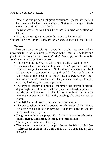#### QUESTION-ASKING SKILL 19

- What was this person's religious experience—prayer life, faith in God, service for God, knowledge of Scripture, courage in testimony, and attitude in worship?
- In what way(s) do you think he or she is a type or antitype of Christ?
- What is the one great lesson in this person's life for you?

\* (From Wilbur M. Smith, *Profitable Bible Study,* 2nd rev. ed., pp. 44-46.)

#### **Prayers**

There are approximately 83 prayers in the Old Testament and 49 prayers in the New Testament (28 of those in the Gospels). The following points (taken from Smith's *Profitable Bible Study,* pp. 48-50), may be considered in a study of any prayer:

- The one who is praying—is this person a child of God or not?
- The circumstances which lead to prayer—God's goodness will lead to *thanksgiving.* A new sense of God's glory and majesty will lead to *adoration.* A consciousness of guilt will lead to *confession. A*  knowledge of the needs of others will lead to *intercession.* One's realization of one's own deep need for guidance, healing, strength, courage, food, etc., will lead to *petition.*
- The physical aspects of praying—the time when prayer is offered, day or night; the place in which the prayer is offered, in public or in private, outdoors or in a church; the attitude of the body in praying: the position of the hands, kneeling, the eyes opened or closed.
- The definite word used to indicate the act of praying.
- The one to whom prayer is offered. Which Person of the Trinity? What title of God is used in praying? What attributes of God are recognized in such praying?
- The general order of the prayer. Five forms of prayer are **adoration, thanksgiving, confession, petition,** and **intercession.**
- The subject or subjects of the prayer.
- The relation of the prayer to the promises of the Word of God (see such passages as Num. 14:17, 18; 2 Sam. 7:27; 1 Kings 8:22-53; Acts 4:25, 26).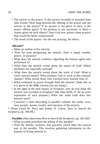- The answer to the prayer. Is the answer recorded or assumed from later events? How long between the offering of the prayer and the answer to the prayer? If an answer is not given at once, is the prayer offered again? If the petition is not answered, is there a reason given for such silence? Does God ever answer some prayers that would be better unanswered?
- The result of the prayer—for the one praying; for others.

#### **Miracles\***

- Make an outline of the miracle.
- Note the term designating the miracle. Does it imply wonder, power, or purpose?
- What does the miracle evidence regarding the human agent who performed it?
- What does the miracle reveal about the nature of God? Which attributes are especially stressed?
- What does the miracle reveal about the work of God? What is God's normal means? What prompts God to work in this unusual manner? What would those who watched have learned from it?
- What command or prayer brought forth the miracle? (State this as it is given in the Bible version you are using.)
- In the light of the total impact of Scripture, why do you think the miracle was recorded in Scripture? (See John 20:30, 31 for an overt expression of such purpose.) What one main truth does this miracle teach?
- Construct a chart describing in parallel columns the realm, occasion, people, means, results, and reactions of the miracle.

\* (From Lloyd M. Perry and Robert D. Culver, *How to Search the Scriptures,* pp. 194-195.)

**Parables** (Also taken from *How to Search the Scriptures,* pp. 201-202)

- What occasion provoked the telling of this parable?
- Note the details, customs, and practices which form the natural part of the parable. This involves gathering information on the manner of living referred to.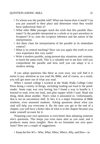#### QUESTION-ASKING SKILL 21

- To whom was the parable told? What one lesson does it teach? Can you put yourself in their place and determine what they would have understood from it?
- What other Bible passages teach the truth that this parable illustrates? Is the parable interpreted as a whole or in part anywhere in Scripture? If so, note the scripture reference and the nature of the interpretation.
- Are there clues for interpretation of the parable in its immediate context?
- What is its central teaching? How can you apply this truth to your own experience this very week?
- Write a modern parable, using present-day situations and customs, to teach the same truth. This is a valuable test to see how well you comprehend the parable and how well you can adapt it to a modern setting.

If you adopt questions like these as your own, you will find it is easier to pay attention as you read the Bible, and of course, as a result, you will get more out of what you read.

When I started college I worked at the Walla Walla College Color Press doing a variety of things, including reading out loud to the proofreader. Some copy was very boring, but I found a way to handle it. I learned to read, even out loud, and plan supper while I read. Read one thing, think about another. That's what it amounted to. Unfortunately, that is not an uncommon skill. In fact, it is a major frustration of Bible students, even seasoned students. Asking questions about what you read will help you overcome it. By the time you get to the end of a chapter, you will have a better idea of what is in the chapter because you make yourself account for it.

Preparing your own questions is even better than adopting someone else's questions. This keeps you even more alert as you read, and it produces many more insights. How do we formulate our own questions? Here are a couple of suggestions:

• Keep the five *W's*—*Who, What, When, Where, Why,* and *How*—in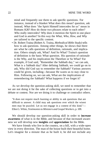mind and frequently use them to ask specific questions. For instance, instead of a blanket What does this mean? question, ask instead, *What* does "the Spirit Himself intercedes for us" mean in Romans 8:26? *How* do those two phrases relate to each other? *Who* really intercedes? *Why* does it mention the Spirit in one place and God in another? In this way the *What, Who, How,* and *Why*  are tailored to the specific content.

• Dr. Robert Traina (Robert A. Traina, *Methodical Bible Study)* tells how to ask questions. Among other things, he shows that there are what he calls questions of definition, rationale, and implication. Others simply ask, What? And So What? Traina's question of definition is the basic What question. His question of rationale is the Why, and his implication the Therefore or So What? For example, if God said, "Remember the Sabbath day," we can ask, What is a Sabbath day? After defining Sabbath, we could go on to ask, Why did God say to remember the Sabbath? Various answers could be given, including—because He wants us to stay close to Him. Following on, we can ask, What are the implications of remembering the Sabbath? What happens if we forget it?

As we develop the question-asking skill, we need to remember that we are not doing it for the sake of collecting questions or to get into a debate or contest. Nor are we doing it to challenge or contradict others.

"It does not require much learning or ability to ask questions that are difficult to answer. A child may ask questions over which the wisest men may be puzzled. Let us not engage in a contest of this kind."— Ellen G. White, *Testimonies to Ministers and Gospel Workers,* p. 109.

We should develop our question-asking skill in order to **increase awareness** of what is in the Bible, and because of that increased awareness we will develop new **insights** and **appreciation** for the Bible.

We have friends who live in the country, on a hill, with a wide-open view in every direction. The man of the house built their beautiful home. Let's imagine for a minute that as he built it, he did not include any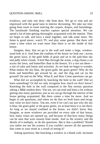windows, and only one door—the front door. We go to visit and are impressed with the good taste in interior decorating. We take our time going from room to room noticing the carpets, drapes, and furnishings. The handmade finishing touches capture special attention. We can spend a lot of time getting thoroughly acquainted with the interior. Then we begin to talk, and have a meal together, and talk some more. We listen to good music, watch TV, and play some games. But there will come a time when we want more than there is on the inside of that house.

Imagine, then, that we go to the wall and make a large, windowsized hole in it. And from the confines of the house we look out—across the green lawn, to the gold fields of grain and on to the pale-blue sky and puffy white clouds. A bird flies through the scene, a dog chases a cat across the lawn, and butterflies float in the breeze. It's a riot out there a riot of color and forms and activities. As we look we begin to wonder, What makes the sky blue, the grain gold, the grass green? Why do the birds and butterflies get around by air, and the dog and cat on the ground? On and on the Why, What if, and How Come questions can go.

What did we accomplish by knocking the hole in the wall? Did we learn something? Or did we only recognize how much we don't know? Knocking the hole in the wall compared to the first serious question asking a Bible student does. You see, we can read and learn a lot without getting into many questions, just as we can go through the interior of the house getting acquainted. But there comes a time for more. And we begin to ask questions, and when we do that we both learn *and* recognize what we don't know. You see, even if we can't say just why the sky is blue, the grain gold, or the grass green, we at least *know* it is out there. As long as we stayed confined in the house, we didn't know that. Imagine, as more windows are provided on every side of that house, how many vistas are opened up, and because of that how many things can be seen that were unseen from inside. And as the scenery and the details of it multiply, so do the questions. But is that a problem? Would you rather not see the scenery if you couldn't answer all the questions that come to your mind as a result of seeing it?

Asking questions, like knocking a window in a blank wall, increases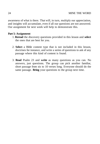awareness of what is there. That will, in turn, multiply our appreciation, and insights will accumulate, even if all our questions are not answered. Our assignment for next week will help to demonstrate this.

#### **Part 5: Assignment**

- 1. **Reread** the discovery questions provided in this lesson and **select**  the ones that are best for you.
- 2. **Select** a Bible content type that is not included in this lesson, doctrines for instance, and write a series of questions to ask of any passage where this kind of content is found.
- 3. **Read** Psalm 23 and **write** as many questions as you can. No answers, just questions. The group can pick another familiar, short passage from six to 10 verses long. Everyone should do the same passage. **Bring** your questions to the group next time.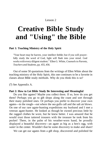#### Lesson 2

### **Creative Bible Study and "Using" the Bible**

#### **Part 1: Teaching Ministry of the Holy Spirit**

"Your heart may be barren, your intellect feeble; but if you will prayerfully study the word of God, light will flash into your mind. God works with every diligent student." Ellen G. White, *Counsels to Parents, Teachers and Students,* pp. 455, 456.

Out of some 50 quotations from the writings of Ellen White about the teaching ministry of the Holy Spirit, this one continues to be a favorite in classes about Bible study methods. Why do you think this is so?

(7) See Appendix A.

#### **Part 2: How to Let Bible Study Be Interesting and Meaningful**

Do you like agates? Maybe you collect them. If so, how do you get them? Perhaps you go to gift shops along the coast and sort through their many polished ones. Or perhaps you prefer to discover your own agates—in the rough—out where the sea gulls call and the salt air blows. On one of our rare agate-hunting expeditions my husband and I met a veteran agate-hunter. He looked as though he owned precious little by the ragged clothes he wore, but he knew better. I was amazed that he would trust those tattered trousers with the treasure he took from his pocket! There, in the palm of his weather-worn hand, he proudly displayed a beautiful discovery—an agate as big as a hen's egg, with *water* in the center. Wouldn't that be some discovery to make and share!

We can get our agates from a gift shop, discovered and polished for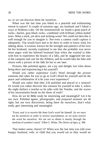us, or we can discover them for ourselves.

When was the last time you hiked to a peaceful and exhilarating retreat in nature? A couple of autumns ago, my husband and I hiked a ways at Wallowa Lake. On the mountainside we found a great patch of rocks—barren, gray-black rocks—combined with brilliant yellow-leafed trees. What a stark, yet alive and striking scene! We could not describe it well enough for you to imagine it. Not even a camera could capture it adequately. You would have had to *be there* in order to know what I'm talking about. A woman, known for the strength and patience of her love for her husband, recently explained to me that she probably was never more angry with her beloved husband than when she wanted to hike with him to experience the beauty of a falls, and he suggested she stay at the campsite and care for the children, and he would take the hike and return with a picture of the falls for her to see later.

Pictures, like polished agates, are a joy and delight, but what about *being there* and experiencing it for yourself?

Would you rather experience God's Word through the picture someone else takes for you or go to God's Word for yourself and let the peace and exhilaration of it be your own experience?

Would you rather find John 3:16 polished and placed in a sermon? Or would you rather discover this treasure for yourself in John 3, where the night shelters a teacher as he talks with the Teacher, and the waves of his uncertainties break on the shore of truth?

How do we let Bible study be interesting and meaningful? Let it be our own. Polished agates, photographs, and prepared sermons are all right, but our own discoveries, being there for ourselves, that's what really gets interesting and meaningful.

"Every soul is to receive life from God's word for himself. As we must eat for ourselves in order to receive nourishment, so we must receive the word for ourselves. We are not to obtain it merely through the medium of another's mind." Ellen G. White, *The Desire of Ages,* p. 390.

That makes sense, doesn't it? When was the last time you told your hungry husband, wife, or child that you would eat so they would no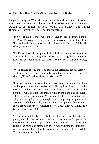#### CREATIVE BIBLE STUDY AND "USING" THE BIBLE 27

longer be hungry? What if the preacher should announce at noon next week that you can stay on for another hour of sermon since someone has agreed to eat lunch for you? Would that satisfy your hunger? Ridiculous, isn't it? We must eat for ourselves.

"It is not enough to know what others have thought or learned about the Bible. Everyone must in the judgment give account of himself to God, and each should now learn for himself what is truth." Ellen G. White, *Education,* p. 188.

"He [Satan] leads the people to look to bishops, to pastors, to professors of theology, as their guides, instead of searching the Scriptures to learn their duty for themselves." Ellen G. White, *The Great Controversy,*  p. 595.

"We must not trust to others to search the Scriptures for us. Some of our leading brethren have frequently taken their position on the wrong side. . . . " Ellen G. White, *Gospel Workers,* p. 303.

"God has given us His Word that we may become acquainted with its teachings, and know for ourselves what He requires of us. . . . It is the first and highest duty of every rational being to learn from the Scriptures what is truth, and then to walk in the light, and encourage others to follow his example. We should day by day study the Bible diligently, weighing every thought, and comparing scripture with scripture. With divine help, we are to form our opinions for ourselves, as we are to answer for ourselves before God." Ellen G. White, *The Great Controversy,* p. 598.

"The work which the Lord has laid out before me especially is to urge young and old, learned and unlearned, to search the Scriptures for themselves; to impress upon all that the study of God's word will expand the mind and strengthen every faculty, fitting the intellect to wrestle with problems of truth, deep and far-reaching." Ellen G. White, *Testimonies,* vol. 5, p. 686.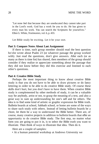"Let none feel that because they are uneducated they cannot take part in the Lord's work. God has a work for you to do. He has given to every man his work. You can search the Scriptures for yourselves." Ellen G. White, *Testimonies,* vol. 6, p. 433.

Let Bible study be exciting. Let it be your *own.* 

#### **Part 3: Compare Notes About Last Assignment**

If there is time, each group member should read the best question he/she wrote about Psalm 23 (or whatever passage the group worked with). Just read the questions, don't give answers. After each (or as many as there is time for) has shared, then members of the group should consider if they realize or appreciate something about the passage that they did not know before they did this exercise and listened to each other's questions.

#### **Part 4: Creative Bible Study**

Perhaps the most important thing to know about creative Bible study is that you do not have to be able to draw pictures or do fancy lettering in order to be able to do creative Bible study. Of course these skills don't hurt, but you don't have to have them. When creative Bible study is complemented by other methods of study, it can be a valuable way for anybody, artist or not, to grasp the meaning of a text, and also a great way to sum up understanding for one's self and for others. The idea is to find some kind of artistic or graphic expression for Bible truth. Bulletin boards at school, Sabbath school, or home are some of the ways to share such study with others. Instead of letting bulletin boards be a chore, let them be a way to understand the Bible better. There are, of course, many creative projects in addition to bulletin boards that offer an opportunity to do creative Bible study. The first step, no matter what form you are going to put it in, is to select the Bible truth you want to illustrate. Then think of ways to illustrate that idea. Then do it.

Here are a couple of samples:

• At a human potential workshop at Andrews University we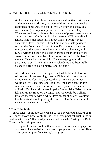studied, among other things, about aims and motives. At the end of the intensive workshop, we were told to sum up the week's experience some way. We could write an essay or a song, do a wood carving or prepare a poster, write a poem or a story. Whatever we liked. I chose to buy a piece of poster board and cut out a large cross. On the vertical bar I wrote LOVE in outlined letters. Inside each letter, in rainbow colors, I wrote various elements of love. For this, I drew from various Bible passages, such as the Psalms and 1 Corinthians 13. The rainbow colors represented the harmonious blending of these elements, and LOVE written on the vertical bar expressed the meaning of the cross. On the horizontal bar of the cross, I wrote "His Motive" on the left, "Our Aim" on the right. The message, graphically portrayed, was, "LOVE, that many splendored and beautifully balanced virtue, is God's motive and our aim."

• After Mount Saint Helens erupted, and while Mount Hood was still suspect, I was teaching creative Bible study to an Oregon camp meeting class. We discussed what creative project we would do if we had time and supplies. One participant, in this case also an artist, said she would draw a picture to illustrate part of Psalm 23. She said she would paint Mount Saint Helens on the left and Mount Hood on the right, and she would be walking through the valley with a white dove on her shoulder. Wouldn't that be a vivid way to portray the peace of God's presence in the valley of the shadow of death?

#### **"Using" the Bible:**

In Chapter 7 of his book, *How to Study the Bible for Greatest Profit,* R. A. Torrey shows how to study the Bible "for practical usefulness in dealing with men." That is why this method is labeled "using" the Bible. There are three simple steps:

1. **Keep** a file or notebook with a separate card or sheet of paper for as many characteristics or classes of people as you choose. Here are some samples from Torrey's long list: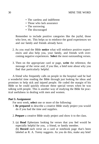- The careless and indifferent
- Those who lack assurance
- The sorrowing
- The discouraged

Remember to include positive categories like the joyful, those who love, etc. This helps us to reinforce the good experiences we and our family and friends already have.

- 2. As you read the Bible **notice** what will reinforce positive experiences and also help you, your family, and friends with overcoming negative experiences. **Select** the most outstanding verses.
- 3. Then on the appropriate card or page, **write** the reference, the message of the verse and, if you like, a brief note about why you find that particularly helpful.

A friend who frequently calls on people in the hospital said he had a wonderful time reading the Bible through just looking for ideas and promises to help sick and injured people. He coded the margin of his Bible so he could quickly relocate these special verses when he was talking with people. This is another way of studying the Bible for practical usefulness in dealing with men and women.

#### **Part 5: Assignment**

For next week, **select** one or more of the following:

- 1. **Be prepared** to describe a creative Bible study project you would do if you had the time and supplies.
- 2. **Prepare** a creative Bible study project and show it to the class.
- 3. (a) **Read** Ephesians looking for verses that you feel would be especially helpful for you, a friend, or family member. (b) **Record** each verse on a card or notebook page that's been

labeled as R. A. Torrey suggests. As you do this, make any brief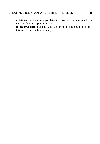notations that may help you later to know why you selected this verse or how you plan to use it.

(c) **Be prepared** to discuss with the group the potential and limitations of this method of study.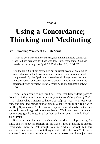#### Lesson 3

### **Using a Concordance; Thinking and Meditating**

#### **Part 1: Teaching Ministry of the Holy Spirit**

"'What no eye has seen, nor ear heard, nor the human heart conceived, what God has prepared for those who love Him,' these things God has revealed to us through the Spirit." 1 Corinthians 2:9, 10, NRSV.

"But the Holy Spirit can strengthen our spiritual eyesight, enabling us to see what our natural eyes cannot see, or our ears hear, or our minds comprehend. By the Spirit which searches all things, even the deep things of God, have been revealed precious truths which cannot be described by pen or voice." Ellen G. White, *Sons and Daughters of God,*  p. 34.

Three things come to my mind as I read that tremendous passage from 1 Corinthians and this commentary in *Sons and Daughters of God.* 

1. Think what it means to have God help us "see" what our eyes, ears, and unaided minds cannot grasp. When we study the Bible with the Holy Spirit as our Teacher, we can expect the results to be better than we could have imagined before we began. We know how to think up some pretty good things. But God has far better ones in mind. That's a big promise.

Have you ever known a teacher who worked hard preparing for class, and he knew his subject, but he wasn't good at getting it across? Everybody knew he got straight A's in graduate school, but few students knew what he was talking about in the classroom? Or, have you ever known a teacher who was a special person and knew just how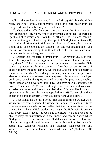to talk to the students? She was kind and thoughtful, but she didn't really know her subject, and therefore you didn't learn much from her that you didn't know before you went to class?

Teachers today suffer from both those extremes. But it isn't so with our Teacher, the Holy Spirit, who is an informed *and* skilled Teacher! The Spirit searches everything, even the depths of God. No one comprehends the thought of God except the Spirit of God (1 Corinthians 2:10, 11). And in addition, the Spirit knows just how to talk to us, the students. Think of it. The Spirit has the content—beyond our imagination—and the skill of communicating it. With a Teacher like that, we learn more that we would have imagined possible.

2. Because this wonderful promise from 1 Corinthians 2:9, 10 is true, I must be prepared for a disappointment. That sounds like a contradiction, doesn't it? Let me explain. The Spirit reveals to me—the Bible student—precious truths that cannot be described by pen or voice. I could not have thought them up. No one but God could have described them to me, and (here's the disappointment) neither can I expect to be able to put them in words—written or spoken. Haven't you wished you *could* describe what the Spirit revealed to you? After preparing a Sabbath school lesson or a devotional talk, have you ever been disappointed at how it "came across"? When the thoughts were so rich, and your own experience so meaningful as you studied, doesn't it *seem* like it ought to appeal to your listeners the way it appealed to you?! Yet, you should not expect to be able to describe what you learn from your Teacher.

3. That brings up the third point. The disappointment we feel when we realize we can't describe the wonderful things God teaches us turns to encouragement again as we realize that the Spirit wants to be the private Tutor of *every* Bible student. As long as the Holy Spirit is present with every Bible student—as God has promised—we don't *have* to be able to relay the instruction with the impact and meaning with which God gave it to us. That doesn't mean God does not use us. God has been relaying messages through humans since the beginning. For example, Jesus said, "Whoever welcomes you [disciples] welcomes me, and whoever welcomes me welcomes the one who sent me" (Matthew 10:40, NRSV).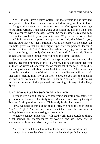Yes, God does have a relay system. But that system is not intended to separate us from God. Rather, it is intended to bring us closer to God.

Imagine that system for a minute: Long ago God gave the message to the Bible writers. Then each week your pastor studies the Bible and comes to church with a message for you. So the message is relayed from God to the prophet to your pastor to you. Why is the pastor in that chain? Is it because the pastor is supposed to study the Bible for you, making sure that you "get it straight"? Or is the pastor an incentive, an example, given so that you too might experience the personal teaching ministry of the Holy Spirit? Remember, while studying your pastor will hear some things that only God can explain, and if you would like to understand the same things, you will need the same Teacher.

So why a sermon at all? Mainly to inspire each listener to seek the personal teaching ministry of the Holy Spirit. The pastor cannot tell you all that God revealed, and your pastor cannot tell it the *way* God told it. But the pastor can tell about what God told, and how. The pastor can share the experience of the Word *so that* you, the listener, will also seek that same teaching ministry of the Holy Spirit. So you see, the Sabbath sermon is not so much to inform us. By sending pastors, God draws us into an experience of the personalized teaching ministry of the Holy Spirit.

#### **Part 2: Ways to Let Bible Study Be What It Can Be**

Perhaps it is a good idea to face something squarely now, before we go on to more lessons. Bible study is not *all* a matter of knowing the right Teacher. In simple, direct words: Bible study is also hard work.

Now, we need to think about that a little. We need to see if that is "fair" or "right." And we need to see what hard work has to do with letting Bible study be interesting or meaningful.

When we connect Bible study with hard work, it is possible to think, "That sounds like righteousness by works," and we know *that* is anathema. So how can Bible study be hard work?

"For the mind and the soul, as well as for the body, it is God's law that strength is acquired by effort. It is exercise that develops. In harmony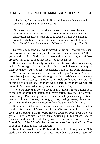with this law, God has provided in His word the means for mental and spiritual development." *Education,* p. 123.

"God does not work miracles where He has provided means by which the work may be accomplished. . . . The means for an end must be employed, if the desired results are to be obtained. Those who make no decided efforts themselves, are not working in harmony with the laws of God." Ellen G. White, *Fundamentals of Christian Education,* pp. 123-124.

Do you jog? Maybe you walk instead, or swim. However you exercise, do you expect to be physically stronger because you do it? Have you found that it is God's law that strength is acquired by effort? You probably have. If so, does that mean you are legalistic?

If God made us physically so that we are stronger when we exercise, and that's not legalistic, do you think He also could have made us spiritually so that we are stronger if we exercise without *that* being legalistic?

We are told in Romans 2:6 that God will repay "according to each one's deeds [or works]," and although that is not talking about the work involved in Bible study, it is true that in Bible study God also rewards according to our works. The more we put into it, the more we will get out of it. "You reap whatever you sow" (Galatians 6:7).

There are more than 90 references in 27 of Ellen White's publications to the kind of searching, effort, and investigation involved in successful Bible study. Painstaking, earnest, determined, persevering, patient, careful, diligent, intense, thorough, close, taxing, frank, thoughtful, persistent are the words she used to describe the search for truth.

It is important for each of us to remember, of course, that the effort required for successful Bible study is the effort we individually have to give. The treasure in God's Word may be found by every soul who will give all (Ellen G. White, *Christ's Object Lessons,* p. 114). That assurance is inclusive and fair. It is all the powers of *my* mind, not St. Paul's, Einstein's, or Ellen White's, that I must use when I study the Bible. That is both hard enough and fair enough.

Now, how does knowing Bible study is hard work help me let Bible study be a rich, meaningful experience? Wouldn't we be more interested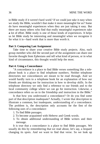in Bible study if it weren't hard work? If we could just take it easy when we study the Bible, wouldn't that make it more meaningful for us? Some do have meaningful experiences when they are just taking it easy. But there are many others who find that really meaningful experiences take **a** lot of effort. Bible study is one of those kinds of experiences. It helps us let Bible study be interesting and meaningful when we recognize it for what it is—hard work that is more than worth it.

#### **Part 3: Comparing Last Assignment**

Take time to share your creative Bible study projects. Also, each group member who did the second part of the assignment can share one favorite thought from Ephesians and tell what kind of person, or in what kind of circumstance, this thought would help the most.

#### **Part 4: Using a Concordance**

"A concordance is a place to find Bible verses something like a telephone book is a place to find telephone numbers. Neither telephone directories nor concordances are meant to be read through. And we would hardly turn to a telephone book for an explanation of how our friends are thinking nor for instruction in how to develop skills. In the telephone directory we only find a reference to our friends and to the local community college where we can go for instruction. Likewise, a concordance refers us on to the friendship and instruction in the Bible."

Is that how you understand a concordance? Or do you find some part of that description inadequate? Actually, I wrote that description to illustrate a common, but inadequate, understanding of a concordance. The problem is, the description only accounts for the first of the following uses of a concordance:

1. To find Bible passages.

- 2. To become acquainted with Hebrew and Greek words.
- 3. To obtain additional understanding of Bible writers and their message.

It is true that a concordance is a place to find Bible passages. We usually do this by remembering that we read about, let's say, a leopard changing its spots. And we want to find that verse. So we look up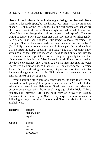"leopard" and glance through the eight listings for leopard. None mention a leopard's spots, but the listing, "Jer. 13:23—Can the Ethiopian change . . . skin, or the leo" sounds like the first phrase of what we are after, so we turn to the verse. Sure enough, we find the whole sentence: "Can Ethiopians change their skin or leopards their spots?" If we are trying to locate a verse that does not have any unique or infrequentlyused words in it, then it takes a little longer to locate the verse. For example, "The sabbath was made for man, not man for the sabbath" (Mark 2:27) contains no uncommon word. So we pick the word we think will be listed the least, "sabbath," and look it up. But if we don't know which book of the Bible it is in, we will have to read quite a few listings in the concordance, especially if we are using the big analytical one that gives every listing in the Bible for each word. If we use a smaller, abridged concordance, like Cruden's, then we may not find the verse unless it is a common one, as Mark 2:27 is. The concordance *is* a verse finder. But, as with using a dictionary, it pays to be on the track (like knowing the general area of the Bible where the verse you want is located) before you try to use it.

What about the other uses of a concordance, the ones that were not covered in my beginning description of a concordance? A Bible student who doesn't even know Hebrew or Greek can use a concordance to become acquainted with the original language of the Bible. Take a sample, like "prayer." Turn to the noun form of "prayer" in Young's *Analytical Concordance of the Bible.* It may surprise you to discover the following variety of original Hebrew and Greek words for this single English word:

| <b>Hebrew:</b> | lachash<br>sichah, siach<br>tephillah    |
|----------------|------------------------------------------|
| Greek:         | deesis<br>enteuxis<br>euche<br>proseuche |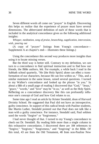Seven different words all come out "prayer'' in English. Discovering this helps us realize that the experience of prayer must have several dimensions. The abbreviated definition of each of these words that is included in the analytical concordance gives us the following additional insights:

*Whisper, meditation, song of praise, beseeching, supplication, intercession, wish, pouring out* 

(A copy of "prayer" listings from Young's concordance— Supplement A at chapter's end— illustrates these listings.)

Using the concordance this second way produces more insights than using it to locate missing verses.

But the third way is better still. Contrary to my definition, we *can*  turn to a concordance to find spiritual instruction and to find how our friends, the Bible authors, felt. For example, a while back I read in the Sabbath school quarterly, "He [the Holy Spirit] alone can effect a transformation of our characters, because He can live within us." This, and a similar statement in the same lesson, raised several questions. I turned to my Walker's concordance and looked up the phrase "in you." In about a fifth of a small page of reading I discovered that "God," "Jesus," "grace," "words," and "love" may be "in us," as well as the Holy Spirit. Reflecting on a concordance discovery like this can profoundly influence one's concept of God and how God relates to us.

Some time ago I read an article by Krister Stendahl, dean of Harvard Divinity School. He suggested that Paul did not have an introspective, guilty conscience. In support of this radical break with Pauline students, like Martin Luther, Stendahl pointed out that Paul does not talk like a man with a guilty conscience. For instance, Stendahl said, Paul seldom used the words "forgive" or "forgiveness."

I had never thought of that. I turned to my Young's concordance to check out Dr. Stendahl. By reading little more than a single column in this exhaustive concordance, I discovered there are 104 references to "forgive," "forgiven," "forgiveness," and "forgiving" in the Bible. Of this total, 43 are from the Old Testament, 48 from non-Pauline New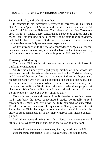Testament books, and only 13 from Paul.

In contrast to his infrequent references to forgiveness, Paul used "faith" (Greek "pistis") 135 times, and that does not even count the 31 times "faith" is used in Hebrews. The balance of the New Testament used "faith" 67 times. These concordance discoveries suggest that our friend Paul was thinking quite a lot more about faith than forgiveness, and that he had a positive, God-centered experience rather than an introspective, essentially self-centered experience.

As this introduction to the use of a concordance suggests, a concordance can be used several ways. It is both a basic and an interesting tool, and knowing how to use it is such an important Bible study skill.

#### **Thinking or Meditating**

The second Bible study skill we want to introduce in this lesson is thinking, or meditating.

Sandy was an underprivileged young mother of three whose life was a sad ordeal. She wished she were free like her Christian friends, and I wanted her to be free and happy too. I think my hopes were highest for Sandy when she asked questions like she did one Sabbath as I took her home from church. While we waited to thread our way into the stream of traffic on Ninth Street, she said, "Why don't people just check out a Bible from the library and then read and return it, like they do other books?" Have you ever wondered that?

How is it that the central theme of the Bible—the redeeming love of God—can bear the most concentrated study, continually unfold throughout eternity, and yet never be fully explored or exhausted? Whether or not we can answer this question or Sandy's, we can at least know that the Bible challenges us to an eternity of careful thought; the story of Jesus challenges us to the most vigorous and intense contemplation.

Let's think about thinking for a bit. Notice how often the word "think," or a synonym for it, appears in the following quotation:

"We should *meditate* upon the Scriptures, *thinking* soberly and candidly upon the things that pertain to our eternal salvation. The infinite mercy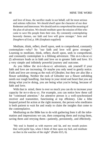and love of Jesus, the sacrifice made in our behalf, call for most serious and solemn *reflection.* We should *dwell upon* the character of our dear Redeemer and Intercessor. We should *seek to comprehend* the meaning of the plan of salvation. We should *meditate upon* the mission of Him who came to save His people from their sins. By *constantly contemplating*  heavenly themes, our faith and love will grow stronger." *Sons and Daughters of God,* p. 109. (Emphasis supplied)

Meditate, think, reflect, dwell upon, seek to comprehend, constantly contemplate—why? So "our faith and love will grow stronger." Learning to meditate, think, reflect, dwell upon, seek to comprehend, and constantly contemplate is a lifelong adventure. This m-t-r-du-sc-cc (!) adventure leads us in faith and love on to greater faith and love. It's a very simple and infinitely powerful journey and outcome.

As you follow the m-t-r-du-sc-cc adventure, ask yourself if your faith and love are increasing. Or maybe you only need to gently notice. Faith and love are strong as the rock of Gibralter, but they are also like a flower unfolding. Neither the rock of Gibralter nor a flower unfolding needs our rough handling. Just keep in your mind and heart that you are doing what you're doing, you are being what you're being, because of faith and love.

With that in mind, there is ever so much you can do to increase your capacity for m-t-r-du-sc-cc. For example, you can notice how these call for "continued attention." An attentive person is a well-synchronized receiver and transmitter, functioning at top efficiency. Like a lithe leopard poised for action at the right moment, the person who meditates is both patient to wait for and ready to claim the insights that come to the contemplative.

Meditating on the Bible has to do with gathering from it all the information and impressions we can, then comparing them and trying them, saving them and retrying them—patiently, persistently, and effectively.

"My soul is feasted as with marrow and fat, and my mouth praises thee with joyful lips, when I think of thee upon my bed, and meditate on thee in the watches of the night" (Psalm 63:5, 6).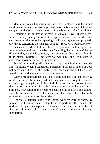Meditation often happens after the Bible is closed and the mind continues to ponder the words printed there. It is a means of keeping company with God in the darkness, or in the busyness of a day's duties.

Describing the journey of the magi, Ellen White says, "It was necessary to journey by night in order to keep the star in view; but the travelers beguiled the hours by repeating traditional sayings and prophetic utterances concerning the One they sought" *(The Desire of Ages,* p. 60).

Incidentally, when I think about the psalmist meditating in the watches of the night and the wise men "beguiling the dark hours" by the thoughts they were able to repeat, I am convinced that it is worthwhile to memorize Scripture. That way we will have the Bible with us anywhere, anytime, so we can ponder it.

Two of the thinking skills that are a part of meditation are analysis and synthesis. When a seamstress purchases a length of fabric, it does not serve as a dress or shirt until it has been cut out and then sewn together into a shape and size to fit the wearer.

When a student purchases a Bible, it does not serve as faith or a way of life until it has been analyzed and then synthesized (e.g. taken apart and put together again) to fit the mind of the student. Of course, just as the wool or cotton in a shirt is the same wool or cotton that was on the bolt, only now suited to the wearer's needs, so the analyzed and synthesized truth from the Bible is the same truth that was in the Bible, only now suited to the mind of the student.

Analysis is detailed study of the parts, word by word or phrase by phrase. Synthesis is a matter of putting the parts together again, into outlines of topics or chapters, for instance. The recurring interplay of these two thinking skills creates a kind of pulse beat that contributes to meditation.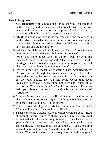#### **Part 5: Assignment**

- 1. **Get acquainted** with Young's or Strong's analytical concordance to the Bible. If you don't have one, ask a friend if you may borrow his/hers. Perhaps your pastor can help you. Maybe the church, school, or public library will have one you can use.
- 2. **Think** of a couple of Bible ideas that you can't find on your own in the Bible. Then **select** the most unique word from that thought and look for it in the concordance. Read the Bible verse to be sure it is the one you are looking for.
- 3. What are the Hebrew and Greek words for "mercy"? What meanings do you find for these words in the concordance?
- 4. Who talks more about love (or charity)—Paul or John the Beloved? Count the listings for both "charity" and "love" in the writings of each. Does that suggest anything to you about Paul that you may not have thought about before?
- 5. Where is the word "boast" or "boasting" used most frequently? As you browse through the concordance, can you find other words that seem to be used in one or two books much more than in any other books? Do you find some words that occur frequently in the New Testament but not in the Old Testament, or vice versa? What about "soul" or "faith," for instance? Does this help you discover the emphasis within books or sections of Scripture?
- 6. Where is Moses mentioned in the Bible? Does noticing the concordance references for Moses suggest anything about Moses or his influence that you did not realize before?
- 7. Think of some theological words like "millennium" or "trinity." Where and how are these used in the Bible?
- 8. **Select** a Scripture passage (six to 10 verses would be good). Read it through several times carefully, making sure you are well acquainted with the main thoughts from it. Then let that select passage be your companion in a special way this week. If you have difficulty sleeping, think about it then. If you are doing manual labor that does not demand careful thought, meditate on it then. What are the parts of that passage? What do they suggest?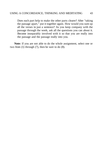Does each part help to make the other parts clearer? After "taking the passage apart," put it together again. How would you sum up all the verses in just a sentence? As you keep company with the passage through the week, ask all the questions you can about it. Become inseparably involved with it so that you are really into the passage and the passage really into you.

**Note:** If you are not able to do the whole assignment, select one or two from (1) through (7), then be sure to do (8).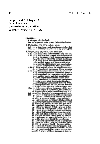**Supplement A, Chapter** 3 From **Analytical Concordance to the Bible,**  by Robert Young, pp. 767, 768.

> PRAYER-1.A whisper, 077 lachash. Isa 26. if poured out a prayer (when) thy chas'-n. 2. Meditation, 70, 770 sichah, siach. Jot 15. 4 Yea, thou. restrainest prayer hefore God Pea. 64. 1 Hearmy voice, O Jod, in my proyer, pres. **3.** Proper, soug of praise, river tephillah.<br>  $\frac{2.54}{1.51}$ , 2. 2. hath. found in his heart to pray this praise in Kl. 3. 28 Yet have thou respect unto the prayer of<br>
> 8. 28 to the prayer which thy servant prayeth 3. 23 the prayer which thy sevant shall make<br>3. 33 Whs. prayer and supplication soever be<br>8. 45. 49 their prayer and ther supplication<br>3. 54 praying all this prayer and ther supplication<br> $9.$  5 beard thy prayer and thy su a Ki.ro. I lift up (thy) prayer for the remnant that<br>20. 5 I have heard thy prayer. I have seen thy 2 Ct. 6, 19 Have respect therefore to the prayer of 6, 19, 20 the prayer which thy servant prayeth 6. 29 what prayer (or) what supplication soover 5.  $x_2$  what prayer and the pupilication<br>5.  $\mu$ ,  $y_2$  their prayer and their supplication<br>7.  $\mu$  I have heart thy prayer, and have chosen<br>7.  $\mu$ ; the prayer that is made) in this place<br> $y_0$ ,  $x_i$  their prayer came ( 12. Is his player unto his God, and the words of 1). 1. E His prayer also, and thow God) was entr.<br>Noh. . . . then mayor hear the prayer of thy arrv. 1. 11 the prayer of thy servant, and to the pra. 11. 15 principal to begin the thanks wing in p.<br> **Job** 16. 13 Not. injustice also my prayer (is) pure<br> **P88.** 4. I have mercy upon me, and hearmy prayer<br>  $\frac{2}{3}$ , chears...the LORD will receive my prayer 17. title. A praver of David. Hear the right<br>17. 1 give ear unto my prayer. (that goeth) not 15. 21 my prayer returned intomine cwn bosom 19. 12 Hear my prayer, 0 Lokn, and give ear u.<br>42. 1 (and) my prayer unto the God of my nie 42.  $\epsilon$  learning priver and the code is the set to the set of the set of the set of the set of the set of the set of the set of the set of the set of the set of the set of the set of the set of the set of the set of the 66. as which hath not turned sway my prayer 69. 11 as for me, my prayer (is) unto thee, 0 L.<br>72. 23 The prayers of Darid the son of Jesse<br>80. 4 be angry against the prayer of thy people<br>84. 4 bearing prayer: give ear. O Gol of Jacob<br>85. *tile* A prayer of Darid Bow 86. 6 Give ear, O LORD, unto my prayer; and<br>88. 2 Let my prayer come before thee: incline 88. 13 In. morningshall my prayer prevent thee<br>90. fifte A prayer of Moses the man of God. 1.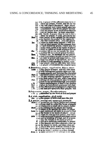see to'le A prayer of the afflicted, when he is ov tos. I Hear my prayer, O LORD, and let my cry too 1; He will regard the prayer. their prayer

- 
- 100. 4 adverances : but I (rive muself unto) pra<br>109. : condemned ; and let his prayer become<br>141. : Let my prayer be se: forth before thee (as)
- 
- 141 syet my prayer also. In their calanities 142 cide. David, A prayer when he was is the c.
- 
- 143 If Hear my prayer, O Loan, give ear to my<br>  $w_1$ , S the prayer of the upright (is) his delight<br>
15. sq he hearsth the prayer of the righteous<br>
28. ; He that turneth away..even his prayer Frov<sub>15</sub>
- Isa 1. 15 when ye make many prayers. I will not
	- 22. 4 lift ug (thy) prayer for the remnant that  $38$ . 5 I have beard thy prayer, I have seen thy  $10^{10}$  make them joyiti in my house of prayer for all  $7$  noise them joyiti in my house of prayer for all
	-
- -
- to neither lift up a cry or prayer for them
- Dat. 9 3 to seek by prayer and supplication, with 9. 17 hear the prayer of thy servant, and his a.
	- 9. 17 near the prayer of thy servant, and his a.<br>9. 21 whiles I (was speaking in prayer, even<br>2. 7 my prayer came in this thee, into thine
- Jon
- Hab. 3. 1 A prayer of Eabakkuk the prophet upon
- 6. Bessehing, prayer, supplication, Singer desses.
	- Lube 1. 13thy peayer is heard: and thy wife Elisa
		-
	-
	-
	- 2.37 with fastings and prayers night and day<br>
	1.37 with fastings and prayers night and day<br>
	1.57 with fastings and prayer to God for I<br>
	1.0 a by their prayer for you, which long after<br>
	2.1.1 Ye also helping together by pra
	- a T1 1. 3 have remembrance of thee in my prayers<br>
	Ret. 3 7 when he had offered up prayers and aupl.<br>
	Jas. 5. 16 The effectual terventprayer of a righteous
	-
	- Jas.
	- : Iv. 1 12 his ears (are open) us to their prayers : but
- b.Intercession, prayer, Creates entenzes.
	- 1 Ti 4. 5 sanctified by the word of God and prayer
- 
- 6.A 10.2h, supplication,  $e^{i\chi}$ h ezchi.<br>Jan. 5. 15 the priver of faith stall save the sick
- 
- **7.A** prayer, couring out, we every moseuche.<br>Mail 17. or gooth not ou: but by prayer and fating!<br>21. 13 house shall be called the house of prayer 21. 22 whatscever ye shall ask in prayer, believ
	-
	-
	- Mark 9. so by nothing but by prayer and fasting<br>11. 17 called of all rations the house of prayer<br>Luke 6. 12 and continued all night in prayer to God Luke 6. 12 and continued all night in prayer to God<br>
	19. 46 My house is the house of prayer: but ye<br>
	72. 43 when he rose up from prayer, sud was c.<br>
	Acts 1. 14 with one accord in prayer and suppleation<br>
	2. 42 and in break
	- -
		-
		- 10. 4 Thy prayers and thire alms are come up
		- so, 31 thy prayer is teard, and thme aims are
		- 12. 5 >rayer was made without ceasing of the
		- 16. 13 fiver side, where prayer was wont to be co. 16 as we went t - prayer, a certain dansel
	- Bom. 1. 9 make mention of you always in my pray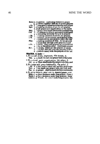#### 46 MINE THE WORD

| Ron 12. 12 patient. . ondinging instant is prayer     |
|-------------------------------------------------------|
| 15. p strive together with me in (your) prayers       |
| r Co. 7. ; may give yourselves to fasting and prayer  |
| 1. 15 making mention of you in my prayers<br>Eph.     |
| 6. is all prayer and supplication in the spirit       |
| Phil. 4. Sprayer and suppli:ationwith thanksgiving    |
| 4. a Continue in prayer, and watch in the same<br>Col |
| 4 12 labouring lervently for you in prayers.          |
| r Th. 1. 2 making mention of you in our prayers       |
| r prayers, intercessons, tand) giving of that<br>1 TL |
| t. c supplications and prayers might and day          |
| e making mention of theein my prayers<br>Phm.         |
| a trust that through your prayers I shall             |
| 7 dwell  that your prayers be not hindered<br>t Pr.   |
| r be ye therefore sober. . watchunto reaver           |
|                                                       |
| i odours, which are the prayers of saints<br>Rev.     |
| , should offer (it) with the prayers of all a.        |
| , (which came) with the prayers of the sai.           |
| <b>TPD</b> to make                                    |

#### п

1. To smooth dows, deprecate, 222 chains, 3.

Das. 9. 13 made we not our prayer before the LORD

- 2. To entreat, mais supplementant. Vet ather, 5.<br>Job 22. 27 Then shallmake thy prayer unto him, and
- 3. To judge self, pray habitually,  $\frac{1}{2}$  polal, 7.<br>  $\frac{1}{2}$ . R. e.,  $\frac{1}{2}$ , the prayer which thy arreast shall make<br>
Nei. 4.  $\frac{1}{2}$  we nade our prayer utto our God, and<br>
Psi. 72. is prayer. shall be nade for h
- 4. Το μινη εποανά, pour ont to, προσεύχομαι pros. Matter, 14 ffor a pretence make long prayer: there.)<br>Mark12. 40 for a pretence make long prayers: these<br>Lutezo. 47 Which... for a show make long prayers. the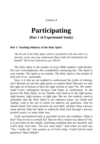#### Lesson 4

# **Participating (Part 1 of Experiential Study)**

#### **Part 1: Teaching Ministry of the Holy Spirit**

"By the aid of the Holy Spirit, which is promised to all who seek it in sincerity, every man may understand these truths [of redemption] for himself." *The Great Controversy,* pp. 526-527.

The Holy Spirit is the teacher of every Bible student—individually. We can't overemphasize this wonderfully reassuring fact. The Spirit is your teacher. The Spirit is my teacher. The Holy Spirit is the teacher of each one of us—personally.

How is it that we are enabled to understand the truths of redemption? Because we ask the right pastor to explain them? Because we read the right set of lessons or hear the right sermon or tape? No. We understand God's redemption because God helps us understand. In the process the Holy Spirit, as our Teacher, may lead us to the right pastor, right lessons, right sermon, or right tape. But we, the students, need to remember that the Holy Spirit is our reference point, our Guide and Teacher. God is the one to whom we address our questions. And we should thank God when answers are provided, whether those answers come directly from the Spirit or indirectly from God through a person, printed source, or some other way.

God's personalized help is provided on just one condition. What is that? That we have a certain IQ? That we feel a certain way about it? No. It is provided on the simple, searching condition that we sincerely seek God's help. God asks, "Do you want help?" And when we each say, "Yes, I really do," that assures us of God's help. Could God be more generous? More helpful?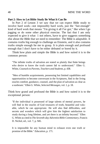#### **Part 2: How to Let Bible Study Be What It Can Be**

In Part 2 of Lesson 3 we saw that we can expect Bible study to involve hard work—not impossibly hard work, just the "fair-enough" kind of hard work that means "I'm giving it all I've got," like when I go jogging or do some other physical exercise. The fact that I am only expected to give it what 1 not others, have to give suggests something else about the Bible that we need to remember: The Bible is adaptable. It contains truths big enough to challenge an Einstein, and it also contains truths simple enough for me to grasp. It is plain enough and profound enough that I don't have to be either defeated or bored by it.

Think how plain and simple the Bible is and how suited it is to the common person:

"The infinite truths of salvation are stated so plainly that finite beings who desire to know the truth cannot fail to understand." Ellen G. White, *Counsels to Parents, Teachers and Students,* p. 438.

"Men of humble acquirements, possessing but limited capabilities and opportunities to become conversant in the Scriptures, find in the living oracles comfort, guidance, counsel, and the plan of salvation as clear as a sunbeam." Ellen G. White, *Selected Messages,* vol. 1, p. 18.

Think how grand and profound the Bible is and how suited it is to the exceptional person:

"If the individual is possessed of large talents of mental powers, he will find in the oracles of God treasures of truth, beautiful and valuable, which he can appropriate. He will also find difficulties, and secrets and wonders which will give him the highest satisfaction to study during a long lifetime, and yet there is an infinity beyond." Ellen G. White as cited in *The Seventh-day Adventist Bible Commentary,* Francis D. Nichol, ed., vol. 7, p. 945.

It is impossible for any human mind to exhaust even one truth or promise of the Bible." *Education,* p. 171.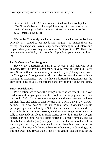Since the Bible is both *plain* and *profound,* it follows that it is adaptable. "The Bible unfolds truth with a simplicity and a *perfect adaptation* to the needs and longings of the human heart." Ellen G. White, *Steps to Christ,*  p. 107 (emphasis supplied).

We can let Bible study be what it is meant to be when we realize how perfectly it is suited to our needs and longings, no matter if we are average or exceptional. Aren't experiences meaningful and interesting to you when you *know* they are going to "suit you to a T"? That's the way it is with the Bible; it is perfectly adaptable to *your* needs and longings.

#### **Part 3: Compare Last Assignment**

Review the questions in Part 5 of Lesson 3 and compare your answers. How did this assignment help you? What insights did it give you? Share with each other what you found as you got acquainted with the Young's and Strong's analytical concordances. Was the meditating a meaningful experience? Do you have additional suggestions for the class about how to use a concordance and how to think about the Bible?

#### **Part 4: Participation**

Participation has to do with "living" a story as we read it. When you read a story, don't you go where the people in the story go and see what they look at? Can't you feel the atmosphere and even imagine the looks on their faces and tones in their voices? That's what I mean by "participating." When we hear or read stories like those in *Reader's Digest,*  participating comes naturally. (At least it did when we were children!) Although, for a couple of reasons, we don't always get as enthusiastically or effectively involved in Bible stories as we do in *Reader's Digest*  stories. For one thing, we feel Bible stories are already familiar, and we already know what's going to happen. It is true that we may know how the story comes out, but we don't know all there is to learn from the story yet. The reason for living Bible stories has more to do with getting into the truth they reveal than it does with getting into the plot for the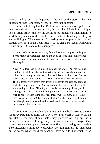sake of finding out what happens at the end of the story. When we understand that, familiarity breeds interest, not contempt.

In addition to being familiar, Bible stories are not always spelled out in as great detail as other stories. So, the most helpful kind of participation in Bible study calls for the ability to put sanctified imagination to work filling in some of the details. It is a matter of finishing the story as well as living it. "Uncle Arthur" Maxwell gives examples of this kind of participation in a small book titled *How to Read the Bible.* Following (found on p. 16) is one of his examples:

"As one reads this (Luke 23:50-53) for the first time it appears to be just a brief report of what happened to the body of Jesus immediately after the crucifixion. But stop a moment. Don't rush by so fast! Read it again. Then again.

"See! A ladder has been placed against the cross. An old man is climbing it, while another waits anxiously below. Now the man on the ladder is drawing out the nails that held Jesus to the cross. But he needs help. Another ladder is raised. The second old man climbs it. Then together, very gently, they lower the body to the ground, perhaps with the limp arms of the Master around their necks as though He were saying to them, 'Thank you, friends, for coming; thank you for helping Me.' What a beautiful thought it is that when His own special friends had forsaken Him and fled, these two old men, 'secret disciples,' came to His aid! Even more thrilling is the sudden realization that though someone who hated Jesus drove in the nails, someone who loved Him pulled them out!"

There is another example of participation in the book, *How to Search the Scriptures.* The authors, Lloyd M. Perry and Robert D. Culver, tell on pp. 103-104 the present-day Bible study practices of 17 people in a variety of professions, from grocery company executive to lawyer. One is an insurance company director who finds that seeing and sharing Bible incidents is infinitely worthwhile. He asks himself, "If I had been on the scene, what would my reactions have been to that which I was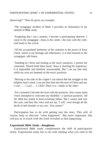observing?" Then he gives an example:

"The synagogue incident of Mark 3 provides an illustration of my method of Bible study.

"Forgetting that I am a student, I become a participating observer. I stand in the synagogue—Jesus in the center—the man with the withered hand in the crowd.

"All the accumulated testimony of the centuries to the power of Jesus Christ, which is our heritage and inheritance, is at that moment in the synagogue, still future.

"Standing by Christ and looking at the man's paralysis, I protest the command, 'Stretch forth thine hand.' Jesus is mocking his impotence. It is impossible and therefore unreasonable. But I can say that only while my eyes are fastened on the man's paralysis.

"Moving to the side of the cripple I can almost feel the struggle in the helpless man's mind. I can see him look into the eyes of Christ and say, I can't . . . I can't .. . I CAN!! There it is—whole as the other.'

"*F*or a moment I become the man with the paralysis. How many times I have attempted to overcome my disability—a spiritual paralysis. All the effort has ended in heart-sickening failure. But I cannot look into His eyes, and hear His voice and not say, 'I will,' even though all the devils in hell thunder in my ears, 'You cannot.'"

Participation has to do with getting into the story. This will, of course, help us discover "what happened." But more important, this will put us in touch with the truth revealed in that happening.

#### **Experiential Bible Study—Baughman**

Experiential Bible study complements the skill of participation nicely. Experiential study has to do with relating what you read in the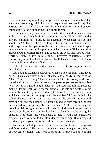Bible, whether story or not, to your personal experience, and letting that encounter produce good fruits in your experience. You could say that participation is the skill that makes the Bible vivid to you, and experiential study is the skill that makes it apply to you.

Experiential study has more to do with the inward emphasis than with the outward emphasis (as in the "using the Bible" skill) or the upward emphasis (as in asking the question, "What does this tell me about God?"). This is all right as long as this inward emphasis is never at the expense of the upward or the outward. While we talk about experiential study, we need to keep in mind what Lawrence Richards said in his book, *Creative Bible Study:* "The question always is this: 'Is God trustworthy?' Not, 'Is my faith strong?'" Effective experiential study confirms my belief that God is trustworthy It does not cause me to focus on my faith rather than on God.

In this lesson and the next we want to look at three approaches to this kind of study.

Ray Baughman, in his book *Creative Bible Study Methods,* introduces on p. 14 an elementary version of experiential study in the form of "Heart Check Bible Study." (See Supplement A to this lesson.) At the top, right-hand section of the form, record the passage you are studying. Ten to 15 verses is a good length. Then, as you read through the passage, make a dot for each verse on the graph at the left and write a verse number beside it. If you are studying 1 Thess. 1:1-10, for instance, you will have one dot on the graph and the number "1" beside it in the column headed "verse," on the first line. On the second line you will have one dot and the number "2" beside it, and so forth through the last line needed for your passage (in this case line 10). There are seven positions from left to right on the graph. Your dot indicates how each verse moved your heart. You can decide where to place the dot by asking the question, How does this verse speak to me? If you have a negative response, place your dot to the left under the minus sign. If you respond positively, place your dot to the right under the plus sign.

For the second step complete the center section headed "Diagnosis and Observations." The purpose here is to answer the question, Why or how did, or didn't—this verse speak to my heart? You see, it is one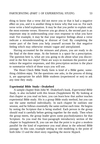thing to know that a verse did not move you or that it had a negative effect on you, and it is another thing to know why that was so. For each verse write a brief explanation. It may be that you prefer to explain only the most extreme verses. However you go about it, the second part is an important step in understanding your own response to what you have read. For example, it may be that your negative feelings about a verse indicate a misunderstanding or distrust of God. By completing the center part of the form you help yourself account for that negative feeling which may otherwise remain vague and unexplained.

Having accounted for the minuses and pluses, you are ready to do the final of the three steps. At the bottom is a space for a prescription. The question here is, what are you going to do about what you discovered in the first two steps? There are ways to maintain the positive and reduce the negative responses, and this prescription section is the place to summarize which of those ways you will use.

The Heart Check Bible Study form is kind of a Bible game, something children enjoy. Yet the questions one asks, in the process of doing it, are appropriate for adult Bible students (experienced or not) to ask any time they study.

#### **Experiential Bible Study—Drakeford**

A sample chapter from John W. Drakeford's book, *Experiential Bible Study,* is also included with this lesson (Supplement B). By looking at that chapter as you read on here, you can learn how that author teaches experiential Bible study. His is a group Bible study method, but you can use the same method individually. In each chapter he outlines one session, and he follows essentially the same outline each time. He begins by noting the Scripture that is being studied. Each person in the group should read it carefully before getting together for the study. Then when the group meets, the group leader gives some psychodynamics for that Scripture. As you read the four-paragraph introductory section of the chapter in Supplement B, you can see that the point is to give a modern parallel for the kind of experience you read about in the selected Bible passage. In this case, example setting or role modeling is the point of both John 13 and the short story regarding the movie *Skyjack.*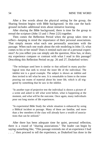After a few words about the physical setting for the group, the Sharing Session begins with Bible background. In this case the background includes additional texts about imitative learning.

After sharing the Bible background, there is time for the group to reread the scripture (John 13 and 1 Peter 2:21) together.

Then comes the Reflection Period when the group takes time to reflect—keeping in mind the importance of their personal associations. That simply means what each one personally associates with the passage. When each one reads about the role modeling in John 13, what comes to his or her mind? Does it remind each one of a personal experience? As you reflect you can simply ask the question, How has, or does, my experience compare or contrast with what I read in this passage? Describing this Reflection Period on pp. 26 and 27, Drakeford writes:

"The technique used here is similar to that utilized in many psychological tests that seek to reveal the inner life of the individual. The inkblot test is a good example. The subject is shown an inkblot and then invited to tell what he sees. It is remarkable to listen to the testee pouring out reams of material about his inner life, which is all triggered by something that he saw in the inkblot.

"In another type of projective test the individual is shown a picture of a scene and asked to tell what went before, what is happening at the moment, and what will be the outcome. Once again, many individuals pour out long stories of life experiences.

"In experiential Bible Study the whole situation is enhanced by using a Biblical incident or passage. Many of these are familiar, and more than a few members of the class will already have a wealth of associations that can be utilized."

After there has been adequate time for quiet, personal reflection, there is a round of "sharing associations." The leader can begin by saying something like, "This passage reminds me of an experience I had . . . ," then proceed to tell the experience, as Drakeford has done in the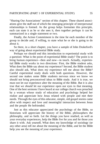"Sharing Our Associations" section of this chapter. These shared associations give the stuff out of which the emerging principle of interpersonal relationships is formed. As the group helps formulate this principle, each can state it as he or she sees it, then together perhaps it can be summarized in a single statement or two.

Finally, the Action Commitment is the time for each member of the group to decide and, if willing, to state what he or she is going to do about it.

So there, in a short chapter, you have a sample of John Drakeford's way of going about experiential Bible study.

Perhaps we should end this introduction to experiential study with a question: What is the point of experiential Bible study? The point is to bring human experience—then and now—in touch. Actually, experiential Bible study works in two directions: First, the Bible student asks, What does the Bible say about my experience? Second, the Bible student also should ask, What does my experience tell me about the Bible? Careful experiential study deals with both questions. However, the second one makes some Bible students nervous since we know we should not bring preconceived ideas to Bible study. And it is true, we must not let our experience alter the meaning of the Bible. But it is also true that we *should* let our experience open our eyes to that meaning. One of the best sermons I have heard at our college church was preached by a woman whose study of education and psychology helped her realize and appreciate how Jesus related with people and met their needs. Through the eyes of this educator, simple, old gospel stories came alive with respect and love and meaningful interaction between Jesus and the people He befriended.

Just as this educator appreciated the psychology of the Bible, so historians will appreciate the history of the Bible, philosophers the philosophy, and so forth. Let the things you have studied, as well as your everyday experiences, help the Bible *live* for you and for those you share it with. Ask yourself, What does my knowledge of sociology (or any other area) tell me about the meaning of the Bible, *and* let the Bible help you see the meaning of your experience.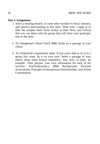#### **Part 5: Assignment**

- 1. *Select* a healing miracle, or some other incident in Jesus' ministry, and practice participating in that story. Then *write* a page or so (like the samples from Uncle Arthur or from Perry and Culver) that you can share with the group that will show your participation in the story.
- 2. *Try* Baughman's Heart Check Bible Study on a passage of your choice.
- 3. *Try* Drakeford's experiential study. If you aren't able to try it in a group this week, do it on your own. Select a passage of your choice about some human experience—fear, love, or hope, for example. Then prepare your own information for each of the sections: Psychodynamics, Bible Background, Personal Associations, Principle of Interpersonal Relationships, and Action Commitment.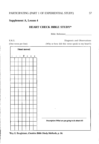### **Supplement A, Lesson 4**

### **HEART CHECK BIBLE STUDY\***

Bible Reference

E.K.G. Diagnosis and Observations

(One verse per line) (Why or how did this verse speak to my heart?)

Heart moved 0  $+$  $\div$ ÷ Prescription (What are you going to do about it?)

\*Ray E. Baughman, Creative Bible Study Methods, p. 14.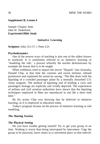#### **Supplement B, Lesson 4**

Sample Chapter from John W. Drakeford, *Experiential Bible Study* 

### **Imitative Learning**

**Scripture:** John 13:1-17; 1 Peter 2:21

#### **Psychodynamics**

One of the newest ways of teaching is also one of the oldest known to mankind. It is sometimes referred to as imitative learning or "modeling the role," a process whereby the teacher demonstrates by example the lesson that is to be taught.

When exhibitors tried to import the movie "Skyjack" into Australia, Donald Chip, at that time the customs and excise minister, refused permission and explained his action by saying, "The film deals with the hijacking of a crowded passenger plane by a mentally disturbed U.S. Army sergeant. The method of hijacking and of holding a crew and passengers hostage are explicitly and vividly depicted. The experiences of airlines and civil aviation authorities have shown that the hijacking techniques employed in films are reproduced in real life a short time later."

By his action Chip was showing that he believed in imitative learning, as it is employed in education today.

Today's program focuses on the process of imitative learning or role modeling.

#### **The Sharing Session**

#### **The Physical Setting**

Do you have trouble getting started? Try to get your group in on time. Nothing is worse than being interrupted by latecomers. Urge the group to be punctual; leave chairs in a convenient place so that individ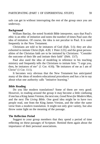uals can get in without interrupting the rest of the group once you are underway.

#### **Background**

William Barclay, the noted Scottish Bible interpreter, says that Paul's ethic is an ethic of *imitation* and notes the number of times Paul uses the idea of imitation. Of course, the idea is not peculiar to Paul. It is used frequently in the New Testament.

Christians are told to be imitators of God (Eph. 5:1); they are also exhorted to imitate Christ (Eph. 4:20; 1 Peter 2:21); and the great personalities of the Christian faith are to be imitated by Christians: "Consider the outcome of their life and imitate their faith" (Heb. 13:7).

Paul also used the idea of modeling in reference to his teaching ministry and frequently tells the Christians to imitate him: "I urge you, then, be imitators of me"  $(1 \text{ Cor. } 4:16)$ ; "Be imitators of me as I am of Christ" (1 Cor. 11:1).

It becomes very obvious that the New Testament has anticipated many of the ideas of modern educational procedures and has a lot to say about what one authority calls "imitative learning."

#### **Bible Reading**

Do you like modern translations? Some of them are very good. However, in reading around the group it may become a little confusing if one has a King James Version, the next one, *Good News for Modern Man,*  and the next *The Living Bible.* One good idea might be to have two people read, one from the King James Version, and the other the same verse from a modern translation. It might not only give variety, but also throw some light on the meaning of the passage.

#### **The Reflection Period**

Suggest to your group members that they spend a period of time reflecting on these passages of Scripture. Remind them again about the importance of their personal associations.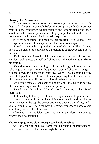#### **Sharing Our Associations**

You can see by the nature of this program just how important it is that the leader sets an example before the group. If the leader does not enter into the experience wholeheartedly and become frank and open about his or her own experience, it is highly improbable that the rest of the members will be very frank in their responses.

If I were conducting the group on this program I would say, "This passage reminds me of an experience I had some years ago.

"I used to set a rabbit trap in the bottom of a brick pit. The only way down to the floor of the pit was by a precipitous pathway leading down the side.

"Each afternoon I would pick up my small son, put him on my shoulder, walk across the field and climb down the pathway to the brick pit bottom.

"One afternoon it was raining, so I decided to go without my son. When I got to the pit I found the pathway wet and slippery. I gingerly climbed down the hazardous pathway. When I was about halfway down I stopped and held onto a branch projecting from the wall of the pit. I began to wonder if I were not foolish to have come.

"As I stood there a stone came rolling by, and I looked up to see my little son tottering down the treacherous pathway.

"I spoke quickly to him: 'Warnick, don't come any farther. Stand there, son.'

"I climbed up to him, picked him up in my arms, and began the difficult climb to the top of the pit. Though it was a bitterly cold day, by the time I arrived at the top the perspiration was pouring out of me, and a voice seemed to say, 'That's the way it is. Where you go, he goes. Where you plant your feet, he places his.'"

After you have modeled, turn and invite the class members to express their associations.

#### **The Emerging Principle of Interpersonal Relationships**

Ask the group to help you formulate a principle of interpersonal relationships. Some of their ideas might be these: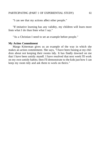"I can see that my actions affect other people."

"If imitative learning has any validity, my children will learn more from what I do than from what I say."

"As a Christian I need to set an example before people."

#### **My Action Commitment**

Margo Kitterman gives us an example of the way in which she makes an action commitment. She says, "I have been fussing at my children about not keeping their rooms tidy. It has finally dawned on me that I have been untidy myself. I have resolved that next week I'll work on my own untidy habits; then I'll demonstrate to the kids just how I can keep my room tidy and ask them to work on theirs."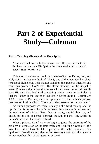#### Lesson 5

# **Part 2 of Experiential Study—Coleman**

#### **Part 1: Teaching Ministry of the Holy Spirit**

"How must God esteem the human race, since He gave His Son to die for them, and appoints His Spirit to be man's teacher and continual guide!" *Steps to Christ,* p. 91.

This short statement of the love of God—God the Father, Son, and Holy Spirit—makes me think of John 3, one of the most familiar chapters about divine love. This chapter combines the gracious intention and courteous power of God's love. The classic statement of the Gospel in verse 16 reveals that it was the *Father* who so loved the world that He gave His only Son. Paul said something similar when he reminded us that the Father is the source of our life in Christ Jesus (1 Corinthians 1:30). It was, as Paul explained in Ephesians 1:9, the Father's purpose that was set forth in Christ. "How must God esteem the human race!"

As human purposes go, there is many a slip twixt the cup and the lip. But that is not so with God's purposes. Between God's purpose and the realization of it in our lives, there is agony, unthinkable risk, and death, but no slip or defeat. Through the Son and the Holy Spirit the Father's purposes for us are realized.

What a picture. Could we even begin to grasp the enormity of the problem of separation or the immensity and reuniting power of God's love if we did not have the John 3 picture of the Father, Son, and Holy Spirit—GOD—willing and able to first assess our need and then meet it in incomprehensibly grand gestures of love?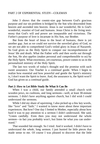John 3 shows that the cosmic-size gap between God's gracious purpose and our sin problem is bridged by the Son who descended from heaven and ascended into heaven. Jesus is *our* wonderful, He is *God's*  wonderful, reuniter of God and humans. Jesus Christ is the living testimony that God's will and power are inseparable and victorious. The Father's purpose of love is incarnate in His Son, our Brother.

But from the heart of Jesus to the heart of humans, there is yet another gap. Just as we could not survive the unveiled glory of God, so we are not able to comprehend God's veiled glory in Jesus of Nazareth. So God gives us the Holy Spirit to conquer our incomprehension of Jesus' life and death. What the Father *wills* and then *works out* through the Son, He also *applies* (makes personal and comprehensible to us) by the Holy Spirit. What enormous, yet courteous, power comes to us in the personalized ministry of the Holy Spirit.

The last two words of today's thought seal the promise with such sweet assurance. Our Teacher is a *continual* guide. When I begin to realize how essential and how powerful and gentle the Spirit's ministry is, I don't want the Spirit to leave. And, the assurance is, the Spirit won't! God has given us a *continual* guide.

#### **Part 2: How to Let Bible Study Be What It Can Be**

When I was a child, our family attended a small church with wooden pews, no cushions, and long sermons—well, at least 30-minute sermons. I didn't have anything against church, but I did wish I could understand the sermons.

While I did my share of squirming, I also picked up a few key words, like "love" and "faith." I wanted to know more about these important experiences. But how? One day I fretted to Mother, especially about how hard it was to pay attention to a sermon I didn't understand. She said, "Listen carefully. Even then you may not understand the whole sermon—in fact you probably won't, but listen for what you can understand."

That sounded fair enough. So I tried. And it worked. I didn't have to understand the *whole,* long sermon. I just hunted for little pieces that made sense to me. Of course I was pleased to discover that the little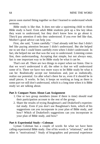pieces soon started fitting together so that I learned to understand whole sermons.

Bible study is like that. It does not take a squirming child to think Bible study is hard. Even adult Bible students pick up a few key ideas they want to understand, but they don't know how to go about it. They'd pay attention if only they understood. If you ever feel like that, Mother's good advice can help you.

First, she said, "Listen carefully." I had already told her that I didn't feel like paying attention because I didn't understand. But she helped me to see that I *could* listen carefully even when I didn't understand. In fact, she helped me see that was the way *to* understand. Listening comes first, then understanding. Accepting that simple, but not always easy, fact is one important way to let Bible study be what it can be.

That's not all. There are two things to expect when we listen. One is that we won't understand it all; the other is that we will understand some of it. There we have two more ways to let Bible study be what it can be: Realistically accept our limitations and, just as realistically, realize our potential. Go after what's there for us, even if it should be in small pieces. It works. In fact, it keeps on working as long as there is some part we still don't understand, which is a long time when it is Bible study we are talking about.

#### **Part 3: Compare Notes About Last Assignment**

- 1. One or two group members (more if there is time) should read their participation account to the rest of the group.
- 2. Share the results of trying Baughman's and Drakeford's experiential study. Even if you don't use Baughman's form, which of his suggestions can you incorporate in your plan of Bible study, and how? Which of Drakeford's suggestions can you incorporate in your plan of Bible study, and how?

#### **Part 4: Experiential Study—Coleman**

Lyman Coleman has a couple of words for what we have been calling experiential Bible study. One of his words is "relational," and the other is "motivational." Study of biographies and personal experience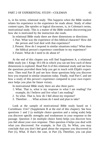is, in his terms, relational study. This happens when the Bible student relates his experience to the experience he reads about. Study of other content types, like epistles or logical discourses, is, in Coleman's terms, motivational study. This is a matter of the Bible student discovering just how she is motivated by the instruction she reads.

In relational Bible study there are three dimensions or directions:

- 1. Past. What was the experience of this biblical character? How did the person and God deal with that experience?
- 2. Present. How do I respond in similar situations today? What does the biblical person's experience contribute to my experience?
- 3. Future. What do I need to do about it?

At the end of this chapter you will find Supplement A, a relational Bible study (on 1 Kings 19:1-19) in which you can see how each of these dimensions is explored. Read Part A of this relational study and see how the questions provided there help you get in touch with Elijah's experience. Then read Part B and see how those questions help you discover how you respond in similar situations today. Finally, read Part C and see how a study of this person's experience compared to your own experience helps you plan for future victory.

In motivational Bible study there are also three parts:

- 1. What. That is, what is my response to what I am reading? For example, do I believe and live what I am reading?
- 2. So what. That is, how do I feel about my response?
- 3. Therefore . . . What actions do I need and plan to take?

Look at the sample of motivational Bible study based on 1 Corinthians 13:4-7 (Supplement B at the end of this chapter). See how questions 1 and 2 (a multiple choice question and a rating scale) help you discover specific strengths and weaknesses in your response to the passage. Question 3 (in multiple choice form) helps you discover how you feel about your own response. Then question 4 helps you deal with what you discovered. For example, in Part (2), So What, you may conclude that you don't feel good about the response you discovered in Part (1), What. If that's the case, in Part (3), Therefore, you can plan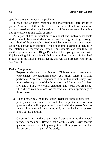specific actions to remedy the problem.

In each kind of study, relational and motivational, there are three parts. Then each of these three parts can be explored by means of various questions that can be written in different formats, including multiple choice, rating scale, or essay.

As a part of this introduction to relational and motivational Bible study, it would be a good idea to take time for the group to go through one or both of these samples. Read the Bible passage and keep it open while you answer each question. Think of another question to include in the relational or motivational study. For example, can you think of another question about 1 Kings 19 that will help you get in touch with Elijah's feelings? Doing this will help you understand what is involved in each of these kinds of study. Doing this will also prepare you for the assignment.

#### **Part 5: Assignment**

- **1. Prepare** a relational or motivational Bible study on a passage of your choice. For relational study, you might select a favorite portion of Abraham's experience. For motivational study, you might select a portion of the Sermon on the Mount from Matthew 5, 6, and 7. First, write which chapter(s) and verses you are using. Then direct your relational or motivational study specifically to those verses.
- 2. When preparing a relational study, **keep** the three dimensions past, present, and future—in mind. For the past dimension, **ask**  questions that will help you get in touch with that person's experience—how they felt, what they did, etc., and what the person and God did about it.

Go on to Parts 2 and 3 of the study, keeping in mind the general purpose in each part. Review Part 4 of this lesson. **Write** specific questions about the Bible passage that will help you accomplish the purpose of each part of the study.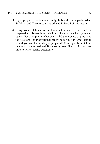## PART 2 OF EXPERIENTIAL STUDY—COLEMAN 67

- 3. If you prepare a motivational study, **follow** the three parts, What, So What, and Therefore, as introduced in Part 4 of this lesson.
- 4. **Bring** your relational or motivational study to class and be prepared to discuss how this kind of study can help you and others. For example, in what way(s) did the process of preparing the relational or motivational study help you? In what setting would you use the study you prepared? Could you benefit from relational or motivational Bible study even if you did not take time to write specific questions?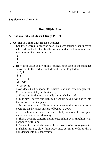### **Supplement A, Lesson 5**

#### **Run, Elijah, Run**

#### **A Relational Bible Study on 1 Kings 19:1-19**

#### **A. Getting in Touch with Elijah's Feelings:**

1. Use three words to describe how Elijah was feeling when in verse 4 he had run for his life, finally crashed under the broom tree, and was praying for death to come.

a.

b.

c.

- 2. How does Elijah deal with his feelings? (For each of the passages below, write the verbs which describe what Elijah does.)
	- a. 3, 4
	- b. 8
	- c. 9, 10, 14
	- d. 10-13
	- e. 15, 16, 19
- 3. How does God respond to Elijah's fear and discouragement? Circle those which you think apply:
	- a. Kicks him in the toga and tells him to shake it off.

b. Tells him it serves him right as he should have never gotten into that mess in the first place.

c. Scares the sandals off him to let him know that he ought to be counting his blessings instead of being so down.

d. Gives him some nourishment to help him rebuild his spent emotional and physical energy.

e. Shows genuine concern and interest in him by asking him what happened with him.

f. Draws him out of his hole with soft words of encouragement.

g. Shakes him up, blows him away, fires at him in order to drive him deeper into his depression.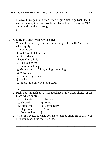i.

h. Gives him a plan of action, encouraging him to go back, that he was not alone, that God would not leave him or the other 7,000, but would see them through.

| <b>B.</b> Getting in Touch With My Feelings                         |
|---------------------------------------------------------------------|
| 1. When I become frightened and discouraged I usually (circle those |
| which apply):                                                       |
| a. Run away                                                         |
| b. Ask God to let me die                                            |
| c. Go to sleep                                                      |
| d. Crawl in a hole                                                  |
| e. Talk to a friend                                                 |
| f. Break something                                                  |
| g. Get my mind off it by doing something else                       |
| h. Watch TV                                                         |
| i. Attack the problem                                               |
| j. Get help                                                         |
| k. Spend time in prayer and study                                   |
| 1.                                                                  |

m. \_\_\_\_\_\_\_\_\_\_\_\_\_\_\_\_\_\_\_\_\_\_\_\_\_\_\_\_\_\_\_\_\_\_\_\_\_\_\_\_\_\_\_\_\_\_\_\_\_\_\_\_\_\_\_

2. Right now I'm feeling . . . about college or my career choice (circle those which apply):

- a. Exhilarated f. Shattered
- b. Blocked g. Burnt
- c. Optimistic h. Blown away
- d. Depressed i. Numb
- e. Comfortable j.

3. Write in a sentence what you have learned from Elijah that will help you in handling these feelings.

\_\_\_\_\_\_\_\_\_\_\_\_\_\_\_\_\_\_\_\_\_\_\_\_\_\_\_\_\_\_\_\_\_\_\_\_\_\_\_\_\_\_\_\_\_\_\_\_\_\_\_\_\_\_\_\_ \_\_\_\_\_\_\_\_\_\_\_\_\_\_\_\_\_\_\_\_\_\_\_\_\_\_\_\_\_\_\_\_\_\_\_\_\_\_\_\_\_\_\_\_\_\_\_\_\_\_\_\_\_\_\_\_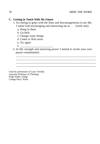### **C. Getting in Touch With My Future**

- 1. In coming to grips with the fears and discouragements in my life, I sense God encouraging and instructing me to . . . (circle one):
	- a. Hang in there
	- b. Go back
	- c. Change some things
	- d. Listen to Him more
	- e. Try again
	- f.. \_\_\_\_\_\_\_\_\_\_\_\_\_\_\_\_\_\_\_\_\_\_\_
- 2. In His strength and nurturing power I intend to (write your own prayer commitment):

\_\_\_\_\_\_\_\_\_\_\_\_\_\_\_\_\_\_\_\_\_\_\_\_\_\_\_\_\_\_\_\_\_\_\_\_\_\_\_\_\_\_\_\_\_\_\_\_\_\_\_\_\_\_\_\_ \_\_\_\_\_\_\_\_\_\_\_\_\_\_\_\_\_\_\_\_\_\_\_\_\_\_\_\_\_\_\_\_\_\_\_\_\_\_\_\_\_\_\_\_\_\_\_\_\_\_\_\_\_\_\_\_ \_\_\_\_\_\_\_\_\_\_\_\_\_\_\_\_\_\_\_\_\_\_\_\_\_\_\_\_\_\_\_\_\_\_\_\_\_\_\_\_\_\_\_\_\_\_\_\_\_\_\_\_\_\_\_\_ \_\_\_\_\_\_\_\_\_\_\_\_\_\_\_\_\_\_\_\_\_\_\_\_\_\_\_\_\_\_\_\_\_\_\_\_\_\_\_\_\_\_\_\_\_\_\_\_\_\_\_\_\_\_\_\_

Used by permission of Larry Veverka Assistant Professor of Theology Walla Walla College College Place, Wash.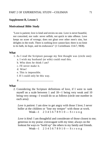### PART 2 OF EXPERIENTIAL STUDY—COLEMAN 71

### **Supplement B, Lesson 5**

### **Motivational Bible Study**

"Love is patient; love is kind and envies no one. Love is never boastful, nor conceited, nor rude: never selfish, not quick to take offence. Love keeps no score of wrongs; does not gloat over other men's sins, but delights in the truth. There is nothing love cannot face; there is no limit to its faith, its hope, and its endurance" (1 Corinthians 13:4-7, NEB).

#### **What**

- 1. As I read the Scripture passage my first thought was (circle one):
	- a. I wish my husband (or wife) could read this.
	- b. Who does he think I am?
	- c. I'll never make it.
	- d. Wow!
	- e. This is impossible.
	- f. If I could only be this way.
	- $g.$

#### **What**

2. Considering the Scripture definitions of love, if I were to rank myself on a scale between 1 and 10—1 being very weak and 10 being very strong—I would do so as follows (circle one number in each area):

*Love is patient:* I am slow to get angry with those I love; I never holler at the children or "lose my temper" with those at work. Weak—1 2345678910—Stron g

*Love is kind:* I am thoughtful and considerate of those closest to me; generous in my praise; extravagant with my time; always on the lookout for ways to "build up" the others in my family and friends. Weak—1 2345678910—Stron g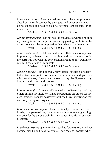*Love envies no one:* I am not jealous when others get promoted ahead of me or threatened by their gifts and accomplishments. I do not sit back and pout or pick flaws when I am set aside or go unnoticed.

Weak—1 2345678910—Stron g

*Love is never boastful:* I do not hog the conversation, bragging about my own gifts and accomplishments, exaggerating the facts deliberately to leave a better impression than what is absolutely true.

Weak—1 2345678910—Stron g

*Love is not conceited:* I do not harbor an inflated view of my own importance, or have to be coaxed, honored, or pampered to do my part; I do not twist the conversation around to my own interests to draw attention to myself.

Weak—1 2345678910—Stron g

*Love is not rude:* I am not cruel, nasty, crude, sarcastic, or cocky; but instead am polite, well-mannered, courteous, and gracious with employees, friends and those in my family—even my brothers and sisters and spouse.

Weak—1 2345678910—Stron g

*Love is not selfish:* I am not self-centered nor self-seeking, making others fit into my mold or laying expectations on others for my own interests; I am not possessive of those I love, insisting on my own way or my own rights.

Weak—1 2345678910—Stron g

*Love does not take offense:* I am not touchy, cranky, defensive, brittle, or supersensitive; I am not easily hurt at any slight thing, nor offended by an oversight by my spouse, friends, or business associates.

Weak—1 2345678910—Stron g

*Love keeps no score of wrongs:* I am quick to forgive those who have harmed me; I don't have to retaliate nor "defend myself" when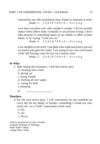criticized by my wife or husband, boss, friend, or associate at work. Weak—1 2345678910—Stron g

*Love does not gloat over other people's wrongs:* I do not secretly rejoice when others make a mistake or are proven wrong: I don't take pleasure in reminding others in my family or office of their faults, or by saying "I told you so."

Weak—1 2345678910—Stron g

*Love delights in the truth:* I am glad when right and justice prevail, no matter who gets the credit; I am strong in my own convictions while still leaving room for my own human error.

Weak—1 2345678910—Stron g

### **So What**

3. After taking this inventory, I feel like (circle one):

- a. crawling into a hole
- b. giving up
- c. trying harder

d. starting all over again

- e. crying for help
- f.. shouting

g.. **\_\_\_\_\_\_\_\_\_\_\_\_\_\_\_\_\_\_** 

### **Therefore:**

- 4. For the next seven days, I will consciously do one unselfish act every day for my family or friends—something I would not ordinarily do—as a "faith" experiment (circle one):
	- a. Yes
	- b. No
	- c. I'll try

Used by permission of Larry Veverka Assistant Professor of Theology Walla Walla College College Place, Wash.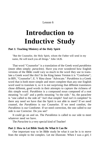Lesson 6

# **Introduction to Inductive Study**

### **Part 1: Teaching Ministry of the Holy Spirit**

"But the Counselor, the Holy Spirit, whom the Father will send in my name, He will teach you all things." John 14:26.

That word "Counselor" is a translation of the Greek word *parakletos*  (more often simply: *paraclete).* Have you ever wondered how English versions of the Bible could vary so much in the word they use to translate a Greek word like this? In the King James Version it is "Comforter"; in RSV, "Counselor"; E. V Rieu chose "Advocate." *Parakletos* is a Greek word that is both more simple and more complete than any one English word used to translate it, so it is not surprising that different translators chose different, good words in their attempts to capture the richness of this simple word. *Parakletos* is a compound noun composed of a root meaning "to call" and a prefix meaning "to the side." So, the paraclete is "one called to the side of." Isn't that simple? And isn't it complete? Is there any need we have that the Spirit is not able to meet? If we need counsel, the *Parakletos* is our Counselor. If we need comfort, the *Parakletos* is our Comforter. If we need correction, the one called to our side is our Corrector. Do you see?

It could go on and on. The *Parakletos* is called to our side to meet whatever need we have.

The *Paraclete* is a very special kind of Teacher!

### **Part 2: How to Let Bible Study Be What It Can Be**

One important way to let Bible study be what it can be is to move from the simple to the complex. Let me illustrate. When I was a girl, I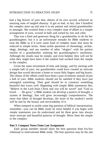had a big drawer of yarn that, almost of its own accord, achieved an amazing state of tangled disarray. It got so bad, in fact, that I bundled the complex mess up and sent it to my patient and retired grandmother to untangle. She worked from a very complex state of affairs to a simple arrangement of yarn, wound in balls and sorted by size and color.

That was a kind and generous thing for a grandmother to do for her granddaughter, but it is an unfortunate mistake for Bible students to treat the Bible as if it were some kind of complex maze that must be reduced to simple terms. Some tackle questions of chronology, archaeology, theology, and any number of other "ologies" with the patient resolve of a grandmother undoing her granddaughter's untidiness. Although the results may be simple, and even helpful, they will not be what they might have been if the student had worked from the simple to the complex.

Given the same investment of time and energy, and by starting with a simple ball of yarn, my grandmother could have created an intricate design that would decorate a home or warm little fingers and big hearts. The climax of her efforts could have been a pair of mittens instead of just a ball of yarn. Bible students should not be satisfied if they have just untangled something. Their goal should be to construct something beautiful that wears well. Beginning with simple Bible statements like, "Believe in the Lord Jesus Christ and you will be saved" and "God so loved . . . He gave," a Bible student can develop a pattern of thought, a system of theology, that will grow increasingly comprehensive. The more that fabric of thought develops, the more of the student's needs will be met by the beauty and serviceability of it.

When tempted to tackle some big question of biblical interpretation, remember—you can let Bible study be more helpful if you begin with simple statements you do understand and let them grow into always more intricate and beautiful patterns of thought. Move from the simple to the complex.

### **Part 3: Compare Notes From Last Assignment**

Each group member should share the best question from his/her relational or motivational Bible study. The best question may be the one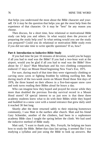that helps you understand the most about the Bible character and yourself. Or it may be the question that helps you get the most help from the experience of that character. Or it may be "best" for any reason you choose.

Then discuss, for a short time, how relational or motivational Bible study can help you and others. In what way(s) does the *process* of preparing the study help you? In what setting would you use the study you prepared? Could you do relational or motivation Bible study even if you did not take time to write specific questions? If so, how?

### **Part 4: Introduction to Inductive Bible Study**

If you had time for just 10 minutes of devotion, would you be happy if all you had to read was the Bible? If you had a two-hour wait at the airport, would you be glad if all you had to read was the Bible? How about for 17 days? Matt Meacham and his two climbing companions endured 17 days on Mount Hood beginning New Year's Eve, 1975.

For sure, during much of that time they were vigorously climbing or carving snow caves or fighting frostbite by rubbing swelling feet. But during much of the two-week storm on Mount Hood those first days of 1976, the three leaned on their elbows in a five-foot-square snow cave and took turns reading their Bibles aloud for hours a day.

Who can imagine how they hoped and prayed for rescue while they more than doubled the previous five-day survival record in a Mount Hood storm? Of special interest to us just now is that these three academy students knew what to do with their Bibles while they hoped and huddled in a snow cave with a tunnel entrance that grew daily until it reached 30 feet long.

Shortly after the three returned safely to their rejoicing hometown community, I saw Matt in the narthex after church. Matt and his friend Gary Schneider, another of the climbers, had been in a sophomore academy Bible class I taught the spring before the climb. We had used the inductive method of Bible study.

Matt said, "I want to thank you, Mrs. Forsyth, for helping me learn how to study the Bible. Before that class last spring, it seemed like I was studying a syllabus and just using the Bible to look up answers. But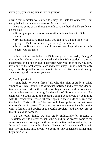during that semester we learned to study the Bible for ourselves. That really helped me while we were on Mount Hood."

Here are some of the things the inductive method of Bible study can do for you:

- It can give you a sense of responsible independence in Bible study.
- By using inductive Bible study you can have a good time with just your Bible, for hours, days, or longer, at a time.
- Inductive Bible study is one of the most insight-producing experiences you can have.

It is also true that inductive Bible study is more readily "caught" than taught. Having an experienced inductive Bible student share the excitement of his or her own discoveries with you, then show you how it is done, is the best way to learn inductive study. But it is not the only way. It is also possible to read about it in lessons like this, and then go after those good results on your own.

(8) See Appendix A.

It may help to notice, first of all, why this plan of study is called "inductive" Bible study. The difference between inductive and deductive study has to do with whether we begin or end with a conclusion and whether we are studying for the sake of discovery or proof. For example, we could study the Second Coming deductively by beginning with the conclusion: Jesus will come again in the clouds of heaven and the dead in Christ will rise. Then we could look up the verses that prove this conclusion is correct. That compares to a mathematician who begins with a formula and applies it to specific problems and thereby proves that it is a valid formula.

On the other hand, we can study inductively by reading 1 Thessalonians 4 to discover what is there, and in the process come to the same conclusion we began with in the deductive method—that is, that Jesus will come again in the clouds of heaven and the dead in Christ will rise. By studying inductively we come to our conclusion rather than beginning with it.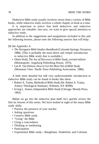Deductive Bible study usually involves verses from a variety of Bible books, while inductive study involves a whole chapter or book at a time.

It is important to notice that both deductive and inductive approaches are valuable. Just now, we want to give special attention to inductive study.

In addition to the suggestions and assignments included in this and the following lessons, please note the following sources that will help:

(9) See Appendix A.

- • *The Navigator Bible Studies Handbook* (Colorado Springs: Navpress, 1980). (This is probably the most direct and simple introduction to inductive Bible study that is available.)
- Oletta Wald, *The Joy of Discovery in Bible Study,* revised edition (Minneapolis: Augsburg Publishing House, 1975).
- Leo R. Van Dolson, *How to Get the Most Out of Bible Study*  (Mountain View: Pacific Press Publishing Association, 1980).

A little more detailed but still very understandable introduction to inductive Bible study can be found in books like these:

- Robert A. Traina, *Methodical Bible Study* (Dr. Robert A. Traina, Asbury Theological Seminary, Wilmore, KY 40390).
- Irving L. Jensen, *Independent Bible Study* (Chicago: Moody Press, 1963).

Before we go into the inductive plan itself, let's quickly review the first six lessons of this series. We have looked at eight of the many Bible study skills:

- Practice the presence of your teacher
- Asking questions
- Creative Bible study
- "Using" the Bible
- Using a concordance
- Thinking or meditating
- Participation
- Experiential Bible study—Baughman, Drakeford, and Coleman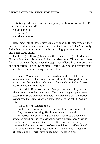This is a good time to add as many as you think of to that list. For example, you might add:

- Summarizing
- Surveying
- And many more. . . .

Remember, all of these study skills are good in themselves, but they are even better when several are combined into a "plan" of study. Inductive study, for example, combines asking questions, summarizing, and other study skills.

On the page following this lesson there is a one-page introduction to Observation, which is basic to inductive Bible study. Observation comes first and prepares the way for the steps that follow, like interpretation and application. The following from George Washington Carver's experience illustrates the meaning of observation:

George Washington Carver was credited with the ability to see where others were blind. When he was still a little boy gardener for Frau Carver, he wondered why most folks merely *looked* at flowers rather than really *seeing* them.

Later, while Dr. Carver was at Tuskegee Institute, a lady sent an ailing geranium to the plant doctor. The damp string and paper were tossed aside as the greenhouse helpers uncovered the plant. But Doctor Carver saw the string as well. Staring hard at it, he asked, "What's this?"

"What, sir?" the helpers asked.

Excited, Carver responded, "Here on this string. Don't you see it?" They saw only the string. He observed the mold as well.

He hurried the bit of string to his workbench at the laboratory where he could pursue his observation with a microscope. What he saw in this case, where others were blind, was an extremely rare disease which caused destruction of cotton cellulose. It had been found only once before in England, never in America. Had it not been checked quickly it might have ruined Southern cotton crops.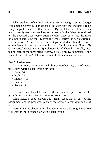Bible students often look without really seeing, just as George Washington Carver said most folks do with flowers. Inductive Bible study helps free us from that problem. By careful observation we can learn to really see when we look at the words in the Bible. As outlined on the attached page, observation includes three parts (see the three little boxes across the top). **Survey** the whole; **study** the parts; **summarize** the whole. At each of these three steps the student should be aware of the items in the box at the bottom: (1) Structure or Form; (2) Grammatical Construction; (3) Relationship of Thoughts. Finally, after taking each of the three steps (survey, detailed study, summarize), the student charts it. We'll talk more about all of this in later lessons.

### **Part 5: Assignment**

As an introduction to one small, but comprehensive, part of inductive study, **write** a chapter title for these:

- Psalm 14
- Psalm 24
- Matthew 18
- Luke 2
- Romans 8

It is important for all to work with the same chapters so that the group's next sharing time will be most productive.

What makes a good chapter title? Think about that as part of this assignment and be prepared to share the answer to that question next week.

**Note:** Keep the chapter titles that you write for this assignment. You will want them in connection with a later lesson.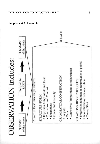

### **Supplement A, Lesson 6**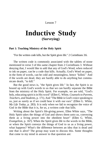### Lesson 7

## **Inductive Study (Surveying)**

### **Part 1: Teaching Ministry of the Holy Spirit**

"For the written code kills, but the Spirit gives life." 2 Corinthians 3:6.

The written code is commonly associated with the tablets of stone mentioned in verse 3 of this same chapter from 2 Corinthians 3. Without denying that, I would like to add that any of God's Word, when reduced to ink on paper, can be a code that kills. Actually, God's Word on paper, in the form of words, can be cold and meaningless, hence "killed." And if the words are dead, they are hardly able to do anything but communicate death, "to kill*."* 

But the good news is, "the Spirit gives life." In fact, the Spirit is so bound up with God's words to us that we can hardly separate the Bible from the ministry of the Holy Spirit. For example, we are told, "God's holy, educating spirit is in His word" (Ellen G. White, *Counsels to Parents, Teachers, and Students,* p. 171). And "The Bible is God's voice speaking to us, just as surely as if we could hear it with our ears" (Ellen G. White, *My Life Today,* p. 283). It is only when we fail to recognize the voice of God in the Bible that it is, for us, a written code that kills.

Writing about the Spirit's life-giving power, Ellen White says, "The Holy Spirit takes the things of God and shows them unto us, conveying them as a living power into the obedient heart" (Ellen G. White, *Evangelism,* p. 167). When the Spirit gives life to the words in the Bible, or when the Spirit conveys the things of God to us as a living power, what happens? What's the difference between an idea that is dead and one that is alive? The group may want to discuss this. Some thoughts that come to my mind in answer to that question are: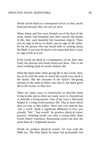Words can be dead as a consequence of sin, or they can be dead just because they are not yet alive.

When Adam and Eve were formed out of the dust of the earth, before God breathed into their nostrils the breath of life, they were beautiful but inanimate objects. There was no sign of decay or death, just no sign of life either. So for the person who has heard little or nothing about the Bible, it too may be dead in the sense that there is just no sign of life in it yet.

If the words are dead as a consequence of sin, they once lived, but distrust and doubt destroyed them. This is the most troubling kind of words without life.

What the Spirit does when giving life to the words, then, has to do with the sense in which the words were dead to the hearer. But the outcome of the Spirit's life-giving ministry is the same in either case; that is, the Spirit gives life to the words, so they live.

There are many ways to characterize or describe those living words, just as there are many ways to characterize or describe a living person. One of the ways I find most helpful is: Living words produce life. That is more literal than we may at first realize. Have you ever noticed that "just a word" made a significant difference in how you actually "felt." "Just words" do produce physical consequences. Soothing words can calm a crying child. Kind words relieve weariness. Reassuring words can slow the pulse-beat of a frightened person.

Words do produce physical results. It's true with the Bible too. The Holy Spirit, by silent, but profoundly real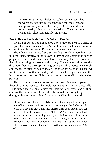ministry to our minds, helps us realize, as we read, that the words are not just ink on paper, but that they *live* and have power to give life. The things of God, then, do not remain static, distant, or theoretical. They become dynamically alive and actually life-giving.

### **Part 2: How to Let Bible Study Be What It Can Be**

We said in Lesson 6 that inductive Bible study can give us a sense of "responsible independence." Let's think about that some more in connection with ways to let Bible study be what it can be.

The Bible student must first discover that it really is possible to get into the Bible, directly, on one's own. Many people continue to rely on prepared lessons and on commentaries in a way that has prevented them from making this essential discovery. Once students do make this discovery they are also apt to hang onto their discoveries tenaciously and change reluctantly, which may be good or not so good. Hence, we want to underscore that our independence must be *responsible,* and this includes respect for the Bible study of other responsibly independent people!

This is where dialogue comes in. We may dialogue in person, or through printed sources like Bible commentaries. Many times Ellen White urged that we must study the Bible for ourselves. *And,* without altering the importance of that, she also urged that we get together, or dialogue. In a testimony titled "Unity in the Church," she said:

"If one man takes his view of Bible truth without regard to the opinions of his brethren, and justifies his course, alleging that he has a right to his own peculiar views, and then presses them upon others, how can he be fulfilling the prayer of Christ (John 17)? And if another and still another arises, each asserting his right to believe and talk what he pleases without reference to the faith of the body, where will be that harmony which existed between Christ and His Father, and which Christ prayed might exist among His brethren?" *Testimonies,* pp. 446- 47.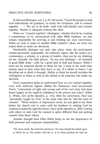### INDUCTIVE STUDY (SURVEYING) 85

In *Selected Messages,* vol. 2, p. 97, she wrote: "Teach the people to seek God individually for guidance, to study the Scriptures, and to counsel together. . . ." We are to do both—seek God individually *and* counsel together. Neither is adequate without the other.

When we "counsel together" (dialogue), whether that be by reading a commentary or by conversation with other Bible students, we also remain responsible for arriving at and holding our own convictions. When we read or listen to another Bible student's ideas, we must not expect them to make our decisions.

Worthwhile dialogue can only take place when the participants remain personally responsible. An authority figure, like the author of a commentary, a scholar, or a group of leaders, does not do my thinking for me. Actually, the little phrase, "do my own thinking"—so essential to good Bible study—calls for a good deal of skill and balance. While I must not let someone decide or think for me, I must at the same time remain open to hear what they have to say. If I refuse to listen, I am deciding not to think it through. Ability to think for myself includes the willingness to listen as well as the refusal to let someone else make my decision.

Paul's experience helps us understand how we can counsel together, even with authority figures. Before his Damascus road turnaround, Paul's "convictions of right and wrong and of his own duty had been based largely on his implicit confidence in the priests and rulers" (Ellen G. White, *Acts of the Apostles,* p. 115). After his conversion, Paul was "personally taught by God" at the same time that he "felt the need of counsel." "When matters of importance arose, he was glad to lay these before the church and to unite with his brethren in seeking God for wisdom to make the right decisions" *(Acts of the Apostles,* p. 200). Uniting *with* others to seek God for counsel is quite different from just getting counsel from those others.

Another thought from Ellen White helps us see the importance of both personal and corporate responsibility:

"We must study the truth for ourselves. No man should be relied upon to think for us. No matter who he is, or in what position he may be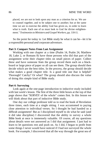placed, we are not to look upon any man as a criterion for us. We are to counsel together, and to be subject one to another; but at the same time we are to exercise the ability God has given us, in order to learn what is truth. Each one of us must look to God for divine enlightenment." *Testimonies to Ministers and Gospel Workers,* pp. 110-11.

So the point for today is: Let Bible study be what it can be—let it be a *responsible* personal *and* corporate adventure.

### **Part 3: Compare Notes From Last Assignment**

Working with one chapter at a time (Psalm 14, Psalm 24, Matthew 18, Luke 2, or Romans 8) have those persons who did that part of the assignment write their chapter titles on small pieces of paper. Collect these and have someone from the group record them each on a blackboard or large piece of paper so all can see them. The group should then decide which are the best titles. In the process, the group should decide what makes a good chapter title. Is a good title one that is helpful? Thorough? Catchy? Or what? The group should also discuss the value of doing this simple kind of Bible study.

### **Part 4: Surveying**

Look again at the one-page introduction to inductive study included with last week's lesson. The first of the three little boxes at the top of that page shows that "SURVEY of the whole" comes first. In this lesson we will think about that part of inductive Bible study.

One day our college professor told us to read the book of Revelation three times, each time at a single sitting. I was accustomed to paying close attention to individual verses. So I thought he had handed us a difficult assignment! But as I disciplined myself to do what he said (and it did take discipline) I discovered that the ability to survey a whole Bible book at once is immensely valuable. Of course, all my questions about details were not answered as I did that assignment. I just had to learn to let questions rest and push on. As I did, I began to profit from some things I never would have noticed if I had not surveyed the whole book. For example, I discovered that all the way through the great sea of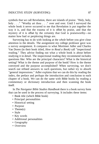symbols that we call Revelation, there are islands of praise. "Holy, holy, holy . . ." "Worthy art thou . . ." over and over. Until I surveyed the whole book it never occurred to me that Revelation is put together the way it is, and that the trauma of it is offset by praise, and that the mystery of it is offset by the certainty that God is praiseworthy—no matter how bad or perplexing things are.

Surveying has to do with looking at the *whole* before you give close attention to the details. The assignment my college professor gave was a survey assignment. It compares to what Mortimer Adler and Charles Van Doren (in their book titled, *How to Read a Book)* call "inspectional reading." They advise finding out what a whole book is about before studying it in detail. The inspectional reading they recommend includes questions like: Who are the principal characters? What is the historical setting? What is the theme and purpose of the book? How is the theme conveyed and the purpose accomplished? When surveying, we don't search out refined answers to such questions, but rather try to absorb "general impressions." Adler explains that we can do this by reading the index, the preface and perhaps the introduction and conclusion to each chapter of a book. We can do the same with Bible books by reading a commentary or dictionary introduction and then scanning the book itself.

In *The Navigator Bible Studies Handbook* there is a book survey form that can be used in the process of surveying. It includes these items:

- Book title (which Bible book)
- Principal personalities
- Historical setting
- Purpose
- Theme(s)
- Style
- Key words
- Additional personalities
- Geography
- Overview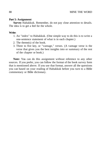### **Part 5: Assignment**

**Survey** Habakkuk. Remember, do not pay close attention to details. The idea is to get a feel for the whole.

### **Write:**

- 1. An "index" to Habakkuk. (One simple way to do this is to write a one-sentence statement of what is in each chapter.)
- 2. The theme(s) of the book.
- 3. Three to five key, or "vantage," verses. (A vantage verse is the verse that gives you the best insights into or summary of the rest of the chapter or book.)

**Note:** You can do this assignment without reference to any other sources. If you prefer, you can follow the format of the book survey form that is mentioned above. If you use that format, answer all the questions you can based on your reading of Habakkuk before you turn to a Bible commentary or Bible dictionary.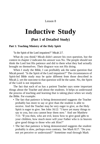Lesson 8

# **Inductive Study**

### **(Part 1 of Detailed Study)**

### **Part 1: Teaching Ministry of the Holy Spirit**

"Is the Spirit of the Lord impatient?" Micah 2:7.

What do you think? Micah didn't answer his own question, but the context in chapter 2 indicates his answer was No. The people should not think the Lord lost His patience and did to them what they had actually brought on themselves. Their disgrace was not His doing.

When I study the Bible, I can profitably ask the same question that Micah posed: "Is the Spirit of the Lord impatient?" The circumstances of Spirit-led Bible study may be quite different from those described in Micah 2, yet the outcome to that question will be the same. No, the Spirit of the Lord is not impatient.

The fact that each of us has a patient Teacher says some important things about the Teacher and about the students. It helps us understand the process of teaching and learning that is taking place when we study the Bible. For example:

- The fact that patience is being demonstrated suggests the Teacher probably has more to say or give than the student is able to receive. And the Teacher may be very eager to give, as the Holy Spirit is eager to give. See John 16:12: "I have yet many things to say to you, but you cannot bear them now." And see Matthew 7:11: "If you then, who are evil, know how to give good gifts to your children, how much more will your Father who is in heaven give good things to those who ask Him?"
- The fact that patience is being demonstrated suggests the student probably is slow, perhaps even contrary. See Mark 8:17: "Do you not yet perceive or understand?" Sometime read through Mark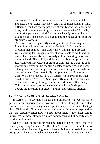and count all the times Jesus asked a similar question, which indicates the disciples were slow. Are we, as Bible students, much different? Don't we try the patience of our Teacher, who has more to say and is more eager to give than we can imagine? Actually, the Spirit's patience is tried (but not weakened) both by the positive force of God's desire to do good and the negative force of the students' slowness.

• The process of God patiently waiting while we learn may seem a frustrating and unnecessary delay. But is it? Isn't something profound happening while God waits? And isn't it a process worth waiting for? Imagine a parent who is able to walk and run gracefully. Imagine also an unsteady toddler hanging onto that parent's hand. The wobbly toddler can hardly stay upright, much less walk with any degree of grace or skill. Yet the parent is enormously interested in the toddler's unsteady progress. The parent offers praise and encouragement as the toddler goes through the ups and downs (psychologically and physically!) of learning to walk. We Bible students have a Teacher who is even more interested in our progress. The Spirit patiently offers help every step of the way as we go through the ups and downs of Bible study. This is a profound process where we, thanks to God's patient power, are increasing in understanding and spiritual strength.

### **Part 2: How to Let Bible Study Be What It Can Be**

In Lesson 1 we say that it makes a big difference what we expect to get out of an experience and how we feel about doing it. Since that lesson we've been noticing some specific expectations and feelings about Bible study. Now we want to add another important expectation that can certainly affect how we feel about Bible study. Let's call it "newness" for now, although a more comprehensive but equally direct word would be better.

One of Jesus' short but far-reaching parables helps show what we mean by expecting "newness." "Therefore," He said, "every scribe who has been trained for the kingdom of heaven is like a householder who brings out of his treasure what is new and what is old" (Matthew 13:52).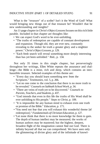What is the "treasure" of a scribe? Isn't it the Word of God? What would bringing new things out of that treasure be? Wouldn't that be new understanding and insights?

An 11-page chapter in *Christ's Object Lessons* focuses on this rich little parable. Included in that chapter are thoughts like:

- We can expect God's word to be ever-unfolding.
- "The truths of redemption are capable of constant development and expansion. Though old, they are ever new, constantly revealing to the seeker for truth a greater glory and a mightier power." *Christ's Object Lessons,* p. 129.
- "Each fresh search will reveal something more deeply interesting than has yet been unfolded." Ibid., p. 134.

Not only 35 times in this single chapter, but perseveringly throughout her writings, Ellen White repeats the assurance and challenge—the Bible is a mine, rich and deep, which contains an inexhaustible treasure. Selected examples of this theme are:

- "Every day you should learn something new from the Scriptures." *Testimonies,* vol. 5, p. 266.
- "Let no one come to the conclusion that there is no more truth to be revealed." *Counsels on Sabbath School Work,* p. 34.
- "There are veins of truth yet to be discovered." *Counsels to Parents, Teachers, and Students,* p. 437.
- "God intends that even in this life the truths of His Word shall be ever unfolding to His people." *Steps to Christ,* p. 109.
- "It is impossible for any human mind to exhaust even one truth or promise of the Bible." *Education,* p. 171.
- "You need not fear that you will exhaust this wonderful theme [of redemption]." *Fundamentals of Christian Education,* p. 127.
- "Let none think that there is no more knowledge for them to gain. The depth of human intellect may be measured; the works of human authors may be mastered; but the highest, deepest, broadest flight of the imagination cannot find out God. There is infinity beyond all that we can comprehend. We have seen only the glimmering of divine glory and of the infinitude of knowl-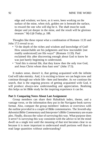edge and wisdom; we have, as it were, been working on the surface of the mine, when rich, golden ore is beneath the surface, to reward the one who will dig for it. The shaft must be sunk deeper and yet deeper in the mine, and the result will be glorious treasure." *My Life Today,* p. 108.

Thoughts like these repeat what a combination of Romans 11:33 and John 17:3 reveal to us:

- "O the depth of the riches and wisdom and knowledge of God! How unsearchable are his judgments and how inscrutable [not readily understood] are His ways!" (Romans 11:33). Paul exclaimed this after discovering enough about God to know he was just barely beginning to understand.
- "And this is eternal life, that they know thee the only true God, and Jesus Christ whom thou hast sent" (John 17:3).

It makes sense, doesn't it, that getting acquainted with the infinite God will take eternity. And, it is exciting to know we can begin now and continue through our whole life—here and hereafter. As we continue the search, that is the ongoing process of getting acquainted with God, it will produce always-new understanding and appreciation. Realizing this helps us let Bible study be the inspiring experience it can be.

### **Part 3: Comparing Notes About Last Assignment**

Group members can share their Habakkuk index, theme, and a vantage verse, or the information they put in the Navigator book survey format. Also, compare the group members' indexes or overviews with the outline provided in a couple of Bible commentaries. The *Seventh-day Adventist Bible Commentary* and *Interpreter's Bible Commentary* are examples. Finally, discuss the value of surveying this way. What purpose does it serve? Is surveying this way consistent with the advice to let the mind dwell on a single text until the meaning of that text becomes clear to us because it is more important to understand small portions well than to read large quantities without understanding?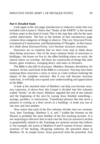### **Part 4: Detailed Study**

Look again at the one-page introduction to inductive study that was included with Lesson 6. Notice that "Study of the PARTS" is the second of three steps in this kind of study This is the step that calls for the most careful observation. The box at the bottom of that introductory page contains three categories of things to observe. They are: Structure/Form, Grammatical Construction, and Relationship of Thoughts. In this lesson, let's think about Structure/Form. Let's become structure conscious.

Structures are so common that we don't even stop to think about them being structures. One of the most common forms of structures is buildings—the house we live in, the office building where we work, the church where we worship. All these are constructed of things like steel beams, glass windows, swinging doors, and stairs or elevators.

The Bible is also full of structures. Matthew, Romans, Revelation, for instance. In fact, each book of the Bible is a structure. You may have been studying these structures a story or verse at a time without realizing the impact of the complete structure. But if you will become structure conscious, it will help you expand your understanding and appreciation of the Bible.

A look at the attached chart of Matthew can help you become structure conscious. It shows how this Gospel is divided into five subunits (called "books" on the chart). Matthew signaled the end of one subunit and the beginning of the next by saying Jesus finished something sayings, parables, or instructions. Transitional phrases like that serve a purpose in writing as a door serves in a building—it leads you out of one area and into another.

Now notice that each of the five subunits divides into two sections: Acts, then Teachings. Matthew 5, 6, and 7 (called the Sermon on the Mount) is probably the most familiar of the five teaching sections. It is not surprising to discover that in each case the Acts (or narrative) section is purposefully related to the Teachings (or sermon) section that follows it. For example, the action in Matthew 8 and 9 consists of Jesus' demonstrations of the healing, life-giving authority He preached about in Matthew 10. In simple terms: Jesus practiced what He preached. And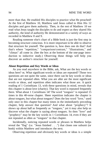more than that, He enabled His disciples to practice what He preached! At the first of Matthew 10, Matthew said Jesus called to Him His 12 disciples and gave them authority. Then, in the rest of Matthew 10 we read what Jesus taught the disciples to do and expect as they shared His authority, the kind of authority He demonstrated in a variety of ways as recorded in Matthew 8 and 9.

Reading someone else's chart of a Bible book is just the first step in becoming structure conscious. It is more important to be able to observe that structure for yourself. The question is, how does one do that? And that's where "repetition," "comparison/contrast," "illustrations," and "climax" all come in. (See the box at the bottom of the one-page introduction to inductive study.) Observing those things will help you discover an author's structure for yourself.

### **About Repetition and Key Words or Ideas**

As you read anywhere in the Bible, ask, What are the key words or ideas here? or, What significant words or ideas are repeated? Those two questions are not quite the same, since there can be key words or ideas that are not repeated often. What you are after are the most significant words or ideas, and repetition often indicates what those are. A quick reading of 1 Corinthians 13, with these questions in mind, reveals that this chapter is about love (charity). That key word is repeated frequently there. What about 1 Corinthians 14? The word "tongues" is repeated 15 times in this 40-verse chapter. Sheer repetition indicates the chapter is about tongues, but what about tongues? Does the key word "love," used only once in this chapter but many times in the immediately preceding chapter, help answer that question? And what about "prophecy"? It shows up about half as frequently as "tongues," yet it may also help us discover what the chapter is saying about tongues. So then "love" and "prophecy" may be the key words in 1 Corinthians 14, even if they are not repeated as often as "tongues" in that chapter.

Incidentally, noticing repeated words or phrases in Matthew helps reveal the "flag" (i.e. "Jesus finished . . .") that closes one subunit (or book) within Matthew and introduces the next.

Observing repetition and obviously key words or ideas is a simple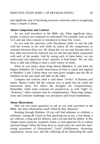and significant step in becoming structure conscious and in recognizing what a chapter is about.

### **About Comparison and Contrast**

As you read anywhere in the Bible, ask, What significant ideas, people, or places are compared or contrasted? For example, look at John 1:1-5 and ask what contrast is introduced in those few verses.

As you read the interview with Nicodemus (John 3) and the talk with the woman at the well (John 4), notice all the comparisons or contrasts between these two. By doing this we not only become alert to how John structured his material, but we also become better acquainted with each of the people. And by seeing each of them better, we can understand and appreciate Jesus' ministry to both better. We see that Jesus is able and willing to meet a wide variety of needs.

What do you notice about King Herod (Matthew 2) and John the Baptist (Matthew 3)? Careful observation of what is stated and implied in Matthew 2 and 3 about these two men gives insights into the life of rebellion on the one hand and faith on the other.

Compare and contrast what is said about "works" in Romans and James. Martin Luther felt the contrast was so great that he could not harmonize them. For others the thoughts are complementary. Remember, while some contrasts are paradoxical, as with "light" vs. "darkness," other contrasts may be complementary. Observing comparisons and contrasts challenges our perception and broad-mindedness.

### **About Illustrations**

Here are two more questions to ask as you read anywhere in the Bible: Are there illustrations used? What do they illustrate?

Reading through Matthew 18 you will find reference to children, a millstone, cutting off a hand or foot, plucking out an eye, a lost sheep, a tax collector, a king and his debtors, and a servant and his debtor. Is this chapter about nurseries, hospitals, farms, or loan agencies? Or is it about spiritual things? What did Jesus have in mind when He used this interesting assortment of illustrations? Could childlikeness, drowning, amputation, rescue acts, and bill collecting all be illustrating the same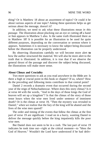thing? Or is Matthew 18 about an assortment of topics? Or could it be about various aspects of one topic? Asking these questions helps us get serious about the message, doesn't it?

In addition, we need to ask what these illustrations mean *in this passage.* The illustration about plucking out an eye or cutting off a hand or foot appears in Matthew 5 also. Is the same truth illustrated there as in Matthew 18? It is possible for an illustration to be used for quite different purposes, depending on the conversation or sermon where it appears. Sometimes it is necessary to know the subject being discussed before the illustration can be properly understood.

By observing illustrations carefully we will become more alert **to**  how the author structured the material. We will also be more alert to the truth that is illustrated. In addition, it is true that if we observe the general thrust of the passage and discover the subject being discussed, the illustrations will make more sense.

### **About Climax and Cruciality**

Two more questions to ask as you read anywhere in the Bible are: Is there a high or crucial point in this book or chapter? If so, where? How do the preceding and following items contribute to that central point?

Daniel 2 records a dramatic event that occurred during the second year of the reign of Nebuchadnezzar. Where does this story climax? Is it at verse 44 with the words, "And in the days of those kings the God of heaven will set up a kingdom"? Is that the climax of the story of those tense hours when the wise men lived under sentence of imminent death? Or is the climax at verse 19, "Then the mystery was revealed to Daniel," when we realize that the fury of the king will be abated and the lives of the wise men spared?

The order and timing of the events that follow the climax at the first part of verse 19 are significant. I read on in a hurry, wanting Daniel to deliver the message quickly before the king impatiently kills the poor wise men.

But Daniel does not seem to be in a rush. The last part of verse 19 indicates he took time out—right at the critical moment—to "bless the God of Heaven." Wouldn't the Lord have understood if he had deliv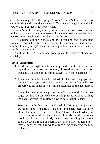ered the message first, then prayed? Wasn't Daniel's first business to calm the king and spare the wise men? *Then* he could sigh a huge thank you to God. But that is not how it went.

Daniel's deliberate ways and priorities stand in instructive contrast to the fury of the king and the haste of his captain, Arioch. Neither God nor His man Daniel were breathless about the crisis.

By singling out the climax, and the preceding and subsequent events, we are better able to (1) observe the character of God and of God's followers, and (2) recognize and appreciate the author's structure and the reasons for it.

Matthew 14:1-12 is another good place to observe climax or cruciality.

### **Part 5: Assignment**

- 1. **Read** back through the information provided in this lesson about repetition, comparison or contrast, illustrations, and climax or cruciality. Do some of the things suggested in those sections.
- 2. **Prepare** a thought chain in Habakkuk. This will help you try some of what you read about in this lesson, and it will also prepare you for some of what will be discussed in the next lesson.

It may help you to take a photocopy of Habakkuk (it fits on two pages) so that you can circle words and phrases without spoiling the pages of your Bible. Here's how to do a thought chain:

**Select** a thought that recurs in Habakkuk. "Waiting" or "justice" are good ones. Then read Habakkuk and circle each word or phrase that directly relates to the thought you selected. What you circle does not need to include identical words, but the thoughts should be directly and clearly related. After reading the whole book, go back through and reread the circled parts noticing how they all connect. You may want to trace a line connecting them in a chain.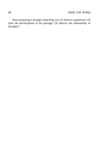Does preparing a thought chain help you (1) observe repetitions? (2) trace the development in the passage? (3) observe the relationship of thoughts?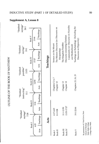### **Supplement A, Lesson 8**





By permission of J. Paul Grove, Dean Walla Walla College College Place, Wash. School of Theology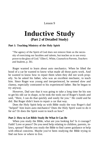### Lesson 9

## **Inductive Study (Part 2 of Detailed Study)**

### **Part 1: Teaching Ministry of the Holy Spirit**

"The agency of the Spirit of God does not remove from us the necessity of exercising our faculties and talents, but teaches us to use every power to the glory of God." Ellen G. White, *Counsels to Parents, Teachers and Students,* p. 361.

Roger wanted to learn about auto mechanics. When he lifted the hood of a car he wanted to know what made all those parts work. And he wanted to know how to repair them when they did not work properly. So he asked his father, who was an excellent mechanic, to teach him. Since Roger was young and inexperienced, he seemed slow and clumsy, especially contrasted to his experienced father. But he began to try anyway.

However, Dad saw that it was going to take a long time for his son to get his old car in shape, so he took the tools out of Roger's hands and said, "Here, I can do that quickly and easily for you." He could and he did. But Roger didn't learn to repair a car that way.

Does the Holy Spirit help us with Bible study the way Roger's dad "helped" him learn auto mechanics? Does the Holy Spirit want to do it for us? Or does the Spirit want to teach *us* how?

### **Part 2: How to Let Bible Study Be What It Can Be**

When you study the Bible, what are you looking for? Is it courage? Faith? Love or peace? Do you need help relating to children, parents, inlaws, spouse? Maybe you study the Bible to find career guidance or help with ethical concerns. Maybe you've been studying the Bible trying to find out how or where to live.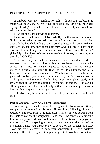If anybody was ever searching for help with personal problems, it must have been Job. As his troubles multiplied, can't you hear Job saying, "Lord, give me relief. I need to understand. Help me, somehow, with these problems!"

How did the Lord answer that prayer?

He restored the fortunes of Job (Job 42:10). But that was not until *after*  God gave Job what he needed. Read Job 42:1-6 and see that God first gave Job the knowledge that God can do all things, and then a firsthand view of God. Job described those gifts from God this way: "I know that thou canst do all things, and that no purpose of thine can be thwarted" (Job 42:2). "I had heard of thee by the hearing of the ear, but now my eye sees thee" (Job 42:5).

When we study the Bible, we may not receive immediate or direct answers to our questions. The problems that harass us may not be solved right away. But we *can* expect to see God. Like Job, we can discover through Bible study (1) that God can do all things, and (2) a firsthand view of Him for ourselves. Whether or not God solves our personal problems just when or how we wish, the fact that we realize God's power and see Him firsthand is reason enough to study and reward enough for having studied. Of course, the fact that God can do all things assures us that He will help with all our personal problems in just the right way and at the right time.

Let Bible study be what it can be—let it be your time to see and trust God.

### **Part 3: Compare Notes About Last Assignment**

Review together each part of the assignment: observing repetition, comparing or contrasting, observing illustrations, following climax or cruciality, and preparing a thought chain. Share what you learned from the Bible as you did the assignment. Also, share the benefits of doing the kind of study you did. You could ask several questions to help you do this, such as, Did preparing a thought chain, or some other part of the assignment, help you discover the structure of the chapter or book? How did your discoveries help you appreciate the Bible writer's message? Did this assignment help you "get it all together" so that you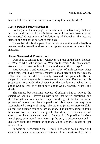have a feel for where the author was coming from and headed?

### **Part 4: Detailed Study (Section 2).**

Look again at the one-page introduction to inductive study that was included with Lesson 6. In this lesson we will discuss Observation of Grammatical Construction and Relationship of Thoughts—the last two items in the box at the bottom of that page.

Remember, this is all a part of paying close attention to the details as we read so that we will understand and appreciate more and more of the message.

### **About Grammatical Construction**

Questions to ask about this, wherever you read in the Bible, include: (1) What or who is the subject? (2) What are the verbs? (3) What connectives are used? How do these help me understand the passage?

Read Genesis 1 and underscore the subject of each sentence. After doing this, would you say this chapter is about creation or the Creator? What God said and did is certainly involved, but grammatically the *subject* in these sentences is God—over and over again. Recognizing this prepares us to consider the chapter from the standpoint of what it says about *God* as well as what it says about God's powerful words and deeds.

The simple but revealing process of asking what or who is the subject of Genesis 1 leaves us with more (not fewer) questions, and therefore with an even healthier respect for this great chapter. But in the process of recognizing the complexity of this chapter, we may have accomplished a couple of things, like ordering priorities more carefully so that the Creator comes before creation. It is embarrassing to think how close we can come to an age-old distortion if we concentrate on creation as the essence and end of Genesis 1. It's possible for Godworshipers, who would never worship the sun, to become absorbed in questions about the creation of light and fail to keep the Creator of light in first place.

In addition, recognizing that Genesis 1 is about both Creator and creation invites a more equitable treatment of the questions about each.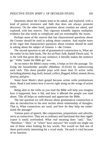Questions about the Creator tend to be asked, and explored, with a kind of patient reverence and faith that does not always promote discovery. On the other hand, questions about creation are asked, and explored, with less reserve. This vigorous scientific inquiry multiplies evidence but also tends to complicate and yet oversimplify the issues.

Perhaps more of the reserve that has characterized questions about the Creator should be used in asking about creation. And maybe more of the vigor that characterizes questions about creation should be used in asking about the subject of Genesis 1—the Creator.

The second question to ask of grammatical construction is, What are the verbs? In his little book, *The Art of Plain Talk,* Rudolf Flesch said, "It is the verb that gives life to any sentence; it literally makes the sentence go." Verbs "make the Bible go" too.

As we notice the Bible's many verbs, it helps us live the passage. Try living the householder parable (Matthew 21:33-41) by underscoring each verb. This short parable pops with more than 25 active verbs including *planted, dug, built, leased, collect, flogged, killed, stoned, threw, destroy,* and *give.* 

Some favor Mark's short gospel because action verbs predominate there. Read it and notice how it moves right along on the wings of action verbs.

Being alert to the verbs as you read the Bible will help you imagine how it happened, how it felt, and how it affected the people you read about. This all helps us understand and appreciate the Bible.

The last question we will discuss about grammatical construction is also an introduction to the next section about relationship of thoughts. That is, What connectives are used, and how do they help me understand the passage?

Various parts of speech, like conjunctions, prepositions and adverbs, serve as *connectives.* They are so ordinary and functional that their significance is easily overlooked. What *real* meaning does "and," "but," "therefore," "then," or "when" have anyway? We would not single out one of these when looking for key words. Nor would we find one of them particularly interesting for a word study. Yet each *is* vital because of its function.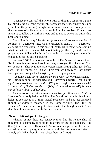A connective can shift the whole train of thought, reinforce a point by introducing a second argument, transplant the reader many miles or years from the preceding thought, or introduce an answer to a question, the summary of a discussion, or a resolution of a problem. Connectives invite us to follow the author's logic and to notice where the author has been and is going.

One of Paul's many "therefores" (a connective) comes at the first of Romans 5. "Therefore, since we are justified by faith. . . ." "Therefore" alerts us to a transition. In this case, it invites us to review and sum up what he said in Romans 14 about being justified by faith, and it prepares us to follow what he will say in the next few chapters about the ongoing effects of this experience.

Romans 1:16-19 is another example of Paul's use of connectives. Read these four verses and see how many times you find the word "for" or "because." Then read the same verses again asking Why? just before each "for" or "because." This will help you see how each "for" clause leads you on through Paul's logic by answering a question.

It goes like this: *I am not ashamed of the gospel* . . . (Why not ashamed?) *for it is the power of God unto salvation* . . . (Why so powerful?) *for in it the righteousness of God is revealed . .* . (Why is His righteousness revealed?) *for the wrath of God is revealed* . . . (Why is His wrath revealed?) *for what can be known about God is plain. . . .* 

Awareness of the little Greek connective *gar* (translated "for" or "because") not only helps us follow Paul's train of thought, but it also helps us see that it *is* a train (logical sequence) and not just scattered thoughts randomly recorded in the same vicinity. The "for" or "because" connects the thought before it with the thought after it. Then that thought connects us with the next section.

### **About Relationships of Thoughts**

Whether or not there are connectives to flag the relationship of thoughts in a passage, it helps to be aware of the likelihood that the thoughts are purposefully related. As we read chapters and books, we can ask what each paragraph has to do with the one before and after it. Simply ask, What thoughts are related here, and how?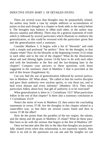### INDUCTIVE STUDY (PART 2 OF DETAILED STUDY) 105

There are several ways that thoughts may be purposefully related. An author may build a case by simple addition or accumulation of points so that each thought in a chapter or book adds to the one(s) before it. The thoughts may balance or offset each other, or the author may discuss cause(s) and effect(s). There may be a general statement of truth which is followed by several particulars which illustrate or reinforce the generalization, or this could be reversed with the particulars given first and the generalization used a summary.

Consider Matthew 5. It begins with a list of "blesseds" and ends with a simple and profound "be perfect." How do the thoughts in that chapter relate? How do the blesseds at the beginning (verses 3-11) relate to each other and to the rest of the chapter? What do the illustrations about salt and shining lights (verses 13-16) have to do with each other and with the beatitudes at the first and the law-keeping later in the chapter? Compare your answers to these questions with those suggested in the summary chart of Matthew 5 that is provided at the end of this lesson (Supplement A).

Can you find the use of generalization followed by several particulars in Matthew 10? What about, "He called to him his twelve disciples and gave them authority over unclean spirits, to cast them out, and to heal every disease and every infirmity" (Matthew 10:1). Then what particulars follow about how that gift of authority is to be exercised?

What generalization is there in 1 Corinthians 13:1? What particulars follow in the rest of that chapter? Is there also a summary conclusion in 1 Corinthians 13:13?

Notice the series of woes in Matthew 23, then notice the concluding statements in verses 37-38. Are the thoughts in this chapter related in a cause-effect way, so that there are several causes listed and then in verses 37-38 the effect?

How do the points from the parables of the ten virgins, the talents, and the sheep and the goats in Matthew 25 relate? What do these parables have to do with the sermon that begins at the first of Matthew 24?

Once we become alert like this to the idea that thoughts are purposefully related (even when that relationship is not expressly stated), then there is no end to the questions we can ask and the insights we can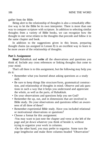gather from the Bible.

Being alert to the relationship of thoughts is also a remarkably effective way to let the Bible be its own interpreter. There is more than one way to compare scripture with scripture. In addition to selecting similar thoughts from a variety of Bible books, we can recognize how the thought in one verse relates to the thoughts that precede and follow it in the same chapter and book.

In addition to the suggestions given in this lesson, preparing thought chains (as assigned in Lesson 8) is an excellent way to learn to be more aware of the relationship of thoughts.

### **Part 5: Assignment**

**Read** Habakkuk and **write** all the observations and questions you think of. Include any cross references or linking thoughts that come to your mind.

That's all there is to this assignment, but the following may help you do it:

- Remember what you learned about asking questions as a study skill.
- Be sure to keep things like structure/form, grammatical construction, and relationship of thoughts in mind. Observe and ask questions in such a way that it helps you understand and appreciate the whole, as well as the parts, of Habakkuk.
- Do your observations and questions help you see God?
- Remember the up, out, and in dimensions that are involved in Bible study. Do your observations and questions reflect an awareness of all three of these?
- Remember experiential Bible study. Have you included relational or motivational observations or questions?
- Choose a format for this assignment: -You may want to just note the chapter and verse at the left of the page and jot down whatever you think of beside it, without trying to organize your work in columns.

-On the other hand, you may prefer to organize. Some turn the page lengthwise and make three columns headed "Observation"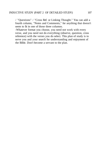/ "Questions" / "Cross Ref. or Linking Thought." You can add a fourth column, "Notes and Comments," for anything that doesn't seem to fit in one of those three columns.

-Whatever format you choose, you need not work with every verse, and you need not do everything (observe, question, cross reference) with the verses you do select. This plan of study is to serve you and your search for understanding and enjoyment of the Bible. Don't become a servant to the plan.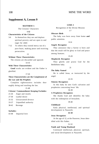### **Supplement A, Lesson 9**

#### **MATTHEW 5**

The Citizens' Characters **1-12** 

#### **Characteristics of the Citizens**

- 3-6 In themselves they see and deplore spiritual poverty and are open to and eager for relief.
- 7-12 To others they extend mercy out of a pure heart, making peace and receiving persecution.

#### 13

#### **Without These Characteristics**

The citizens are discarded and ignored.

14-16

#### **With These Characteristics**

**Good** works are evident and the Father is glorified.

#### 17-20

**These Characteristics are the Complement of the Law and the Prophets** 

Complete righteousness includes thoroughly doing and teaching the law.

#### 21-48

#### **Citizens' Commandment Keeping Excludes:**

- 21-26 Anger and insults
- 27-30 Lustful desire
- 31-32 Unwarranted divorce
- 33-37 Unjustified authority
- 38-42 Revenge

#### **Includes:**

43-48 Impartial love

#### **LUKE 2**

Recognition of the Divine Mission 1-7

#### **Obscure Birth**

The baby was born away from home **and**  public attention.

#### 8-14

#### **Angels Recognize**

They announce that a Savior is born and that the result will be glory to God and peace among humans.

#### 15-20

#### **Shepherds Recognize**

They glorify and praise God for the Bethlehem baby.

#### 21

#### **The Baby Named**

He is called Jesus, as instructed by the angel.

#### 22-35

#### **Simeon Recognizes**

In this baby he sees God's salvation and prophesies concerning Jesus' life.

36-38

#### **A Prophetess Recognizes**

She thanks God and identifies the baby with the redemption of Jerusalem.

#### 39-40

#### **Childhood**

Early physical, intellectual, and spiritual development in Nazareth.

#### **41-50**

#### **Jesus Recognizes**

At the age of 12, at the Passover, Jesus identified with His Father.

#### 51-52

#### **Youth and Young Manhood**

Continued intellectual, physical, spiritual, and social development in Nazareth.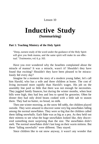Lesson 10

## **Inductive Study (Summarizing)**

### **Part 1: Teaching Ministry of the Holy Spirit**

"Deep, earnest study of the word under the guidance of the Holy Spirit will give you fresh manna, and the same spirit will make its use effectual." *Testimonies,* vol. 6, p. 163.

Have you ever wondered why the Israelites complained about the miracle of manna? It was a miracle, wasn't it? Shouldn't they have found that exciting? Shouldn't they have been pleased to be miraculously fed every day?

Imagine for a moment the story of a modern young father, let's call him Harold, who has a wife and three children at home. The cost of living increased more rapidly than Harold's wages. His job on the assembly line paid so little that there was not enough for necessities. They juggled family finances, but during the winter months, when heat bills were high, they had less and less to spend for groceries. Often for dinner they had only dried beans cooked with a little salt to season them. They had no butter, no bread, no milk.

Then one winter morning, as the snow fell softly, the children played outside. They were amazed to discover some very big snowflakes falling among the normal snowflakes. They were *so* big that the children called them falling snowballs. Each flake was as big as a pea. As they held out their mittens to see what the huge snowflakes looked like, they discovered something more surprising than the size. The snowflakes didn't melt. The normal snowflakes didn't last long on their warm mittens. But these "falling snowballs" were different. They stayed.

Since children like to eat snow anyway, it wasn't any wonder that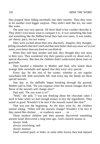they popped these falling snowballs into their mouths. Then they were in for another even bigger surprise. They didn't melt like ice, nor taste like water.

The taste was very special. All three liked it but couldn't describe it. They didn't even know what to compare it to. It was something like fruit and something like the fluffiest bread they had ever eaten. It was tender, yet chewy; juicy, but not watery.

They were excited about their new discovery. *Imagine,* they thought, *falling snowballs that don't melt and that taste better than any snow we've ever eaten, even better than any food we can think of.* 

When they told their mother and dad, they thought they saw tears in their eyes. They wondered why their parents would cry about such a special discovery. But then the children didn't understand about tears of gratitude.

They handed a mittenful to Mother and Dad, who tasted these strange little snowballs and agreed that they were very special.

Every day for the rest of the winter, whether or not regular snowflakes fell, little snowballs fell. And every day the family ate these special morsels.

One day, as the daffodils began breaking through the ground, Mother said to Dad, "Do you suppose when the season changes that the flavor of the morsels will change also?"

Dad said, "Do you want it to?"

"Well," she said, "I was just thinking about the chocolate cakes I used to bake when we had enough money to buy the ingredients. They tasted so good. Wouldn't it be nice if the morsels tasted like that?"

That was just the beginning. As the days went by, the children started asking, "When will the morsels change? Wouldn't it be nice if they tasted like chicken ... or cranberry sauce . . . or . . . ."

Those modern children and their parents discovered something ancient Israel discovered a long time ago. God's miracle manna is:

always fresh

always nourishing, and

always manna!

Israel wanted quail, or leeks, or some other luxury they had enjoyed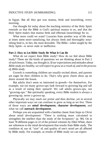in Egypt. But all they got was manna, fresh and nourishing, every morning.

Our thought for today about the teaching ministry of the Holy Spirit reminds us that the Bible is God's spiritual manna to us, and that the Holy Spirit makes that manna fresh and effectual (nourishing) for us.

What more could we want? Luxuries from another way of life may at times seem more tantalizing, but always fresh and thoroughly nourishing food is, in fact, the most desirable. The Bible—when taught by the Holy Spirit—is never stale or ineffective.

## **Part 2: How to Let Bible Study Be What It Can Be**

What do we expect from Bible study? How do we feel about Bible study? These are the kinds of questions we are thinking about in Part 2 of each lesson. Today, our thought is: *If our expectations and attitudes about Bible study are healthy, we will expect to grow as a result of, and in the process of, Bible study.* 

Growth is something children are usually excited about, and parents are eager for their children to do. That's why grow charts show up on doors around the house.

But adults don't seem so interested in growth—for themselves. For example, not too many grown-ups look forward to growing big and tall as a result of eating their spinach! We call adults grown-ups, not "growing-ups." But spiritually speaking, every Bible student is always a growing-up, never a grown-up.

Physically we may reach our prime and then decline, yet in several other important ways we can continue to grow as long as we live. Three of those ways are **mind development, character development,** and what we call **outreach development.** 

Perhaps you are acquainted with a familiar classic from *Steps to Christ*  about mind development: "There is nothing more calculated to strengthen the intellect than the study of the Scriptures" (p. 90). On at least 78 different pages in 22 of the printed volumes by Ellen White, there are references to the mind development that results from Bible study. The condition of, use of, "size" of, and quality of one's mind are all affected by Bible study. For example, as results of Bible study we can expect: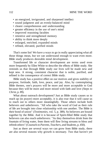- an energized, invigorated, and sharpened intellect
- sound judgment and an evenly-balanced mind
- clearer comprehension and understanding
- greater efficiency in the use of one's mind
- improved reasoning faculties
- retentive and strengthened memory
- ability to think more deeply
- enlarged, enriched, expanded minds
- refined, elevated, purified minds

That's some list! We have a ways to go in really appreciating what all those things mean, but we can understand enough to want even more. Bible study produces desirable mind development.

Transformed life or character development are terms used even more frequently by Ellen White to describe the effects of Bible study. She reminds us that through Bible study our lives will be made new and kept new. A strong, consistent character that is noble, purified, and refined is the consequence of correct Bible study.

Bible study has a positive effect on our motives and gives stability of purpose, fortitude, faith, love, peace, and joy. Also, by contemplating Bible themes, one's prayers will be more and more acceptable to God because they will be more and more mixed with faith and love *(Steps to Christ,* p. 89).

What about outreach development? Just as Bible study causes us to reach up (in prayer) more acceptably, it is also true that it will cause us to reach out to others more meaningfully. Those others include both believers and unbelievers. "All who take the word of God as their rule of life are brought into close relationship with one another. The Bible is their bond of union" *(Testimonies,* vol. 5, p. 389). So believers are bound together by the Bible. And it is because of Spirit-filled Bible study that believers can also reach unbelievers: "As they themselves drink from the fountain of living water, from them will flow living streams to bless and refresh others" *(Counsels to Parents, Teachers, and Students,* p. 450).

Just as there are several ways we can grow from Bible study, there are also several reasons why growth is necessary. Two that haven't yet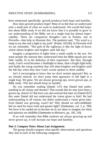been mentioned specifically: growth produces both hope and humility.

How does growth produce hope? Most of us feel that we understand only a small part of what we want to understand. We would feel hopeless about Bible study if we did not know that it is possible to grow in our understanding of the Bible, not in a single leap but almost imperceptibly. There are companion thoughts—one in Psalms, one in Proverbs—that help to illustrate this. The psalmist said, ''Thy word is a lamp to my feet and a light to my path" (Psalm 119:105). In Proverbs 4:18 we are reminded, "The path of the righteous is like the light of dawn, which shines brighter and brighter until full day."

Imagine a progression of lights from a small candle to the sun. For some people the amount they understand from the Bible equals just one little candle, lit in the darkness of their experience. But then, through study, God's word becomes a flashlight to them, then a bright light bulb, and finally the rising sunshine that will shine brighter and brighter until the full day when they hear God's words spoken to them audibly.

Isn't it encouraging to know that we don't remain ignorant? But, as we already noticed, we don't jump from ignorance to full light in a single leap. We grow. We are always growing-ups, never grown-ups, in Bible study. This fact should keep us humble.

Do you remember reading (Daniel 1:17) that Daniel had understanding in all visions and dreams? That sounds like *he* may have been a grown-up, doesn't it? But have you also noticed that later on (Daniel 8:27) this same Daniel did not understand the vision given to him? He had understanding in all visions, but didn't understand a vision given later. Even Daniel was growing, wasn't he? Why should we self-confidently feel no need for more truth and greater light? (*Testimonies,* vol. 5, p. 709). We have to be careful not to become set in our ideas or imagine our ideas and opinions are infallible (*Testimonies to Ministers,* pp. 105, 110).

If we will remember that Bible students are always growing up and never grown up, it will increase our hope and humility.

## **Part 3: Compare Notes About Last Assignment**

The group should compare what specific observations and questions they had in each of the following categories: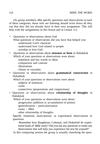(As group members offer specific questions and observations in each of these categories, those who are listening should write down all they can that they did not already have in their own assignment. This will help with the assignments in this lesson and in Lesson 11.)

- Questions or observations about God
	- What questions or observations did you have that helped you:
		- -understand God's character
		- -understand how God related to people
		- -worship or love God
- Questions or observations about **structure or form** in Habakkuk Which of your questions or observations were about:
	- -repetition and key words or ideas
	- -comparison and contrast
	- -illustrations
	- -climax or cruciality
- Questions or observations about **grammatical construction** in Habakkuk
	- Which of your questions or observations were about:
		- -subjects of sentences
		- -verbs
		- -connectives (prepositions and conjunctions)
- Questions or observations about **relationship of thoughts** in Habakkuk

Which of your questions or observations were about:

-progression (addition or accumulation of points)

- -generalization / particularization
- -cause / effect
- -other relationship of thoughts

Specific relational, motivational, or experiential observations or questions

-Remember how Baughman, Coleman, and Drakeford do experiential kinds of Bible study? Did you ask any questions or make any observations that will help you experience the text for yourself?

In this comparing session the group is actually classifying the ques-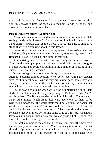## INDUCTIVE STUDY (SUMMARIZING) 115

tions and observations from their last assignment (Lesson 9). In addition, this provides time for each class member to add questions and observations to his or her own list.

## **Part 4: Inductive Study**—**Summarizing**

Please refer again to the single-page introduction to inductive Bible study provided with Lesson 6. Notice the third little box in the top righthand corner—SUMMARY of the whole. That is the part of inductive study that we are thinking about in this lesson.

Lesson 6 introduced summarizing by means of an assignment that called for a chapter title for Psalm 14, Psalm 24, Matthew 18, Luke 2, and Romans 8. Now let's look a little closer at this skill.

Summarizing has to do with putting thoughts in fewer words. Compare this with paraphrasing, which has to do with putting thoughts in other words. You could call summarizing a matter of "putting it in a nutshell" or "boiling it down."

In the college classroom, the ability to summarize is a survival attempt. Students cannot possibly write down everything the teacher says, so they must select. And if they are taking good notes they will manage to summarize what the teacher said so that they can remember as much as possible of what was said, and even how.

That is how it should be when we use the summarizing skill in Bible study. It is not an attempt to say everything the Bible writer said "in 25 words or less." The Bible is condensed as it is. John said, "There are also many other things which Jesus did; were every one of them to be written, I suppose that the world itself could not contain the books that would be written" (John 21:25). We could have had a world full of books, but instead we have one small Bible. We should not try to condense that even more by leaving some of it out. Instead, we should learn to summarize in such a way that we can grasp all of it—or at least more of it—rather than neglect parts of it.

The best summary is the one that helps you remember the most from the passage you have summarized. Your summary title for any chapter should help you remember as much as possible of that chapter, including the "tone" of the chapter, how the parts of the chapter fit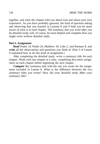together, and what the chapter told you about God and about your own experience. As you have probably guessed, the kind of question asking and observing that you learned in Lessons 8 and 9 help you be more aware of what is in each chapter. The summary that you write *after* you do detailed study will, of course, be more helpful and complete than you might write without detailed study.

## **Part 5: Assignment**

**Read** Psalm 14, Psalm 24, Matthew 18, Luke 2, and Romans 8, and **write** all the observations and questions you think of. (Part 5 of Lesson 9 explained how to do this kind of assignment.)

After completing the detailed study, write a summary title for each chapter. Work with one chapter at a time, completing this entire assignment on each chapter before beginning the next chapter.

**Compare** this summary title with the one you wrote for the assignment included in Lesson 6. What is the difference between the two summary titles you wrote? How did your detailed study affect your summary title?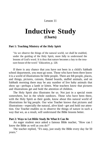## Lesson 11

## **Inductive Study (Charts)**

## **Part 1: Teaching Ministry of the Holy Spirit**

"As we observe the things of the natural world, we shall be enabled, under the guiding of the Holy Spirit, more fully to understand the lessons of God's word. It is thus that nature becomes a key to the treasure-house of the word." *Education,* p. 120.

If there is any chance that you have not been in a child's Sabbath school department, you must go soon. Those who have been there know it is a world of illustrations for little people. There are felt people, places, and things, pictures, cutouts, flannel boards, stuffed animals, and on Sabbath morning there may be any number of live baby animals that show up—perhaps a lamb or kitten. Wise teachers know that pictures and illustrations get and hold the attention of children.

The Holy Spirit also illustrates for us. Not just in a special room somewhere, but in the whole outdoors. Those who have been there, with the Holy Spirit as their guide, know about this natural world of illustrations for big people. Our wise Teacher knows that pictures and illustrations—especially the natural, alive kind—get and hold our attention. Our Teacher enables us to observe the things of nature in such a way that we, as a result, will understand the Bible lessons better.

## **Part 2: Ways to Let Bible Study Be What It Can Be**

An eager student once asked a famous Bible teacher, "How can I know the Bible as well as you do?"

The teacher replied, "It's easy, just study the Bible every day for 50 years."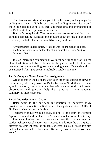That teacher was right, don't you think? It *is* easy, as long as you're willing to go after it a little bit at a time and willing to keep after it until those little bits add up to a lot. Real understanding and appreciation of the Bible sort of add up, slowly but surely.

But that's not quite all. The slow-but-sure process of addition is not all that is happening. Consider this thought about the use of our talents that surely includes the use of our Bible study abilities:

"By faithfulness in little duties, we are to work on the plan of addition, and God will work for us on the plan of multiplication." *Christ's Object Lessons,* p. 360.

It is an interesting combination: We must be willing to work on the plan of addition and able to believe in the plan of multiplication. We cannot expect understanding to come at a single leap. Yet we should not be surprised if insights seem to multiply rapidly sometimes.

## **Part 3: Compare Notes About Last Assignment**

Group member should share with each other the difference between the summary titles they wrote for Psalm 14, Psalm 24, Matthew 18, Luke 2, and Romans 8, first without and then with detailed study. Did careful observations and questions help them prepare a more adequate summary of these chapters?

#### **Part 4: Inductive Study—Charts**

Refer again to the one-page introduction to inductive study provided with Lesson 6. The final item on the right-hand side is CHART IT. That is what this lesson is about.

Teachers of inductive Bible study like to tell the story of Professor Agassiz's student and the fish. Here's an abbreviated form of that story:

Renowned Professor Agassiz gave a specimen fish to a new, aspiring student whose special interest was insects. In addition, he gave quite a different assignment than the student expected. He said, "Take this fish and look at it; we call it a haemulon. By and by I will ask what you have seen."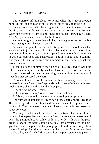## INDUCTIVE STUDY (CHARTS) 119

The professor left him alone for hours, when the student thought minutes was long enough to see all there was to see about the fish.

Finally, frustrated with the assignment, the student began to draw the fish, and as he did so, he was surprised to discover new features. When the professor returned and found the student drawing, he said, "That's right, a pencil is one of the best eyes."

As the story goes, the student still had only begun to see the fish, but he was using a great helper—a pencil.

A pencil is a great helper in Bible study too. If we should ever feel left alone with just a chapter from the Bible and with much more time than we think necessary, we can let a pencil help us see. It is important to write our questions and observations, and it is important to summarize them. The skill of putting our summary in chart form is what this lesson is about.

Preparing such a summary chart helps us in at least two ways: First it helps us sum up and clarify what we have already learned about the chapter. It also helps us learn some things we wouldn't have thought of if we had not prepared the chart.

There are different ways to summarize, but a summary chart such as those of Matthew 5 and Luke 2 (provided with Lesson 9) is a simple way. Look at those charts and notice the three parts:

1. A title for the whole chart,

2. A statement of the "point" of each paragraph, and

3. A brief, condensed statement of what each paragraph says.

The purpose is best served if each part of the chart is short. Less than 10 words is good for chart titles and for statements of the point of each paragraph. The condensed statement of each paragraph may extend to about 20 words.

You may wonder what the difference is between the point of each paragraph (the part that is underscored) and the condensed statement of what the paragraph says. While both have to do with what the paragraph is about, the point should also take into account *why* the paragraph is there. The points of the paragraphs should, in some way, show the relationship of all the paragraphs in the chapter. For example, there may be a key word included in several of the point statements ("recog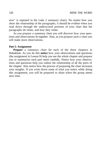nize" is repeated in the Luke 2 summary chart). No matter how you show the relationship of the paragraphs, it should be evident when you read down through the underscored portions of your chart that the paragraphs do relate, and how they relate.

As you prepare a summary chart you will discover how your questions and observations fit together. Also, as you prepare such a chart you will make more observations.

### **Part 5: Assignment**

**Prepare** a summary chart for each of the three chapters in Habakkuk. As you do this **notice** how your observations and questions (the assignment in Lesson 9) help you see the whole chapter and prepare you to summarize each part more carefully. Notice how your observations and questions help you realize the relationship of all the parts of the chapter. Also notice how the process of preparing the chart increases your insights. If you write down some of what you notice while doing this assignment, you will be prepared to share when the group meets next time.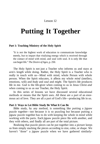## Lesson 12

# **Putting It Together**

## **Part 1: Teaching Ministry of the Holy Spirit**

"It is not the highest work of education to communicate knowledge merely, but to impart that vitalizing energy which is received through the contact of mind with mind, and soul with soul. It is only life that can beget life." *The Desire of Ages,* p. 250.

The Holy Spirit is not just a Teacher who informs us and stays at arm's length while doing. Rather, the Holy Spirit is a Teacher who is really in touch with us—Mind with mind, whole Person with whole person. When the Spirit educates, it affects my whole *mind* (intellect, emotions, will) and *body* and *soul* and *might.* The Spirit's life produces life in me. God is the life-giver when coming to us in Jesus Christ *and*  when coming to us as our Teacher, the Holy Spirit.

In this series of lessons we have discussed several educational methods or means that the Spirit uses. All these are a part of an enormous act of love. They are all a part of God's life—producing life in us.

### **Part 2: Ways to Let Bible Study Be What It Can Be**

Bible study, by any method, is something like putting a jigsaw puzzle together—not because it is so puzzling but because putting a jigsaw puzzle together has to do with keeping the whole in mind while working with the parts. Each jigsaw puzzle piece fits with another, and they with others, and finally all are part of the total picture.

Realizing that puzzle pieces can be put together into a picture keeps us from simply stacking the pieces according to size, color, or shape. We haven't "done" a jigsaw puzzle when we have gathered similarly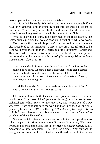colored pieces into separate heaps on the table.

So it is with Bible study. We really have not done it adequately if we have only gathered similar-sounding texts into separate collections in our mind. We need to go a step further and be sure that those separate collections are integrated into the whole picture of the Bible.

What is this whole picture? It is not printed on the Bible box top, like jigsaw puzzle pictures that we can prop up in front of us while we work.

How do we find the whole picture? We can look at how someone else assembled it. For instance, "There is one great central truth to be kept ever before the mind in the searching of the Scriptures—Christ and Him crucified. Every other truth is invested with influence and power corresponding to its relation to this theme" *(Seventh-day Adventist Bible Commentary,* vol. 6, p. 1084).

"The student should learn to view the word as a whole and to see the relation of its parts. He should gain a knowledge of its grand central theme—of God's original purpose for the world, of the rise of the great controversy, and of the work of redemption." *Counsels to Parents, Teachers, and Students,* p. 462.

"... all [in the word of God] is but a revelation of the character of God." Ellen G. White, *Patriarchs and Prophets,* p. 596.

Christian authors, both technical and popular, come to similar conclusions. "Heilsgeschichte" (salvation history) is a frequently-used technical term which refers to "the revelatory and saving acts of GOD whereby He has sought to save the world and to which the O.T. and N.T. primarily bear witness" (Van A. Harvey, *A Handbook of Theological Terms,*  p. 113). Scholars have chosen this single word to describe the "whole" to which all of the Bible testifies.

Some other Christian writers are not as technical, and yet they also relate the parts of scripture to a whole. Frederick Grant says, "The great overruling interest of the Bible is religion" *(How to Read the Bible,* p. 33). According to Frank Gaebelein, "The Bible has a single great purpose. It was given to reveal the love of God as manifested in the divine provi-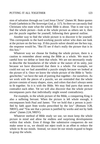sion of salvation through our Lord Jesus Christ" (James M. Boice quotes Frank Gaebelein in *The Sovereign God,* p. 117). So then we can easily find Christians who state what the whole Bible is about. That is one way to find the whole picture—look at the whole picture as others see it, then put the puzzle together for yourself, following their general outline.

Another way to find the whole picture is to discover it for yourself. This corresponds to the hard-working puzzle solver who does not look at the picture on the box top. If this puzzle solver should see the box top, the response would be, "But I'll see if that's really the picture that is in this box."

Whatever way we choose for finding the whole picture, there is a caution to remember about seeing the Bible as a whole. We must be careful how we define or limit that whole. We are not necessarily ready to describe the boundaries of the whole or the nature of its unity, just because we have discovered that there is a whole. For example, we could not say we had assembled a puzzle simply because we looked at the picture of it. Once we know the whole picture of the Bible is "heilsgeschichte," we have the task of putting that together—for ourselves. As we work with the pieces of a puzzle, we are reminded that the whole picture consists of many shapes, sizes, and colors that don't always seem to fit together. So it is with the Bible. We may find parts that seem to contradict each other. Yet we will also discover that the whole picture encompasses parts that individually might sound contradictory.

For example, in the whole picture of the Bible, a conquering King *is*  also a suffering Servant. When the picture is left whole enough, it encompasses both Paul and James: "For we hold that a person is justified by faith apart from works prescribed by the law" (Romans 3:28, NRSV), *and* "You see that a person is justified by works and not by faith alone" (James 2:24, NRSV).

Whatever method of Bible study we use, we must keep the whole picture in mind and allow for endless and surprising developments within that whole. Even if things like submissive conquerors do not make sense to us, we should not reject truth in an effort to reduce the whole to fit our minds. Instead, we must let our minds expand to begin to grasp the whole.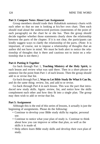## **Part 3: Compare Notes About Last Assignment**

Group members should trade their Habakkuk summary charts with each other so that no one is looking at his/her own chart. Then each should read aloud the underscored portions (statements of the point of each paragraph) on the chart he or she has. Then the group should decide together whether those statements clearly show the relationship between the parts of the chapter. If it is not clear, the participants can kindly suggest ways to clarify the relationship of the parts. (Note: It is important, of course, not to impose a relationship of thoughts that an author did not have in mind. We must be both alert to notice the relationship of thoughts that is there and cautious not to insist on a relationship that is not there.)

## **Part 4: Putting It Together**

Go back through Part 1, **Teaching Ministry of the Holy Spirit,** in each lesson and review what was said there. Then in a short phrase or sentence list the point from Part 1 of each lesson. Then the group should add to or revise that list.

Go back through Part 2, **Ways to Let Bible Study Be What It Can Be,**  and do the same thing: review, list, and add to or revise.

Go back through Part 4 in each lesson. This was the part that introduced new study skills. Again: review, list, and notice how the skills complement each other and how they fit into a single plan. The group may then wish to add or revise that list.

#### **Part 5: Assignment**

Although this is the end of this series of lessons, it actually is just the beginning of assignments. Please do the following:

- Continue to develop your Bible study skills by regular, personal use.
- Continue to notice what your plan of study is. Continue to think about how you can improve or refine that plan, as well as the skills it is made of.
- Help others learn Bible study skills and develop their own plan of study.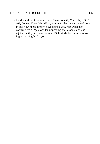## PUTTING IT ALL TOGETHER 125

• Let the author of these lessons (Diane Forsyth, Charistis, P.O. Box 462, College Place, WA 99324, or e-mail: [charis@owt.com\)](mailto:charis@owt.com) know if, and how, these lessons have helped you. She welcomes constructive suggestions for improving the lessons, and she rejoices with you when personal Bible study becomes increasingly meaningful for you.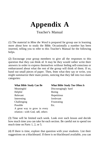# **Appendix A**

Teacher's Manual

(1) The material in *Mine the Word* is prepared for group use in learning more about how to study the Bible. Occasionally a number has been inserted, telling you to refer to this Teacher's Manual for the following helps.

(2) Encourage your group members to give all the responses to this question that they can think of. It may be they would rather write their answers in order to express themselves without feeling self-conscious or embarrassed about what the rest of the group will think of them. If so, hand out small pieces of paper. Then, from what they say or write, you might summarize their main points, noticing that they fall into two main categories:

| <b>What Bible Study Can Be</b>  | What Bible Study Too Often Is |
|---------------------------------|-------------------------------|
| Meaningful                      | Discouragingly hard           |
| Helpful                         | Boring                        |
| Relevant                        | Repetitious                   |
| Interesting                     | Irrelevant                    |
| Challenging                     | Frustrating                   |
| Possible                        | Etc.                          |
| A great way to grow in every    |                               |
| relation—with God, self, others |                               |

(3) Time will be limited each week. Look over each lesson and decide how much time you can take for each section. Be careful not to spend too much time on Parts 1, 2, or 5.

(4) If there is time, explore that question with your students. List their suggestions on a blackboard. If there is no blackboard available, you can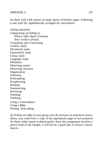## APPENDIX A 127

list them with a felt marker on large sheets of butcher paper. Following is one such list, alphabetically arranged for convenience:

Asking questions Categorizing according to: What it talks about (Content) How it tells it (Form) Comparing and Contrasting Creative study Devotional study Experiential study Group study Language study **Obedience** Observing nature Observing structure Organization Outlining Participating Paraphrasing Reading Summarizing Surveying Teaching Thinking Using a Concordance Using a Bible Writing, Note taking

(5) If there are folks in your group who do not have an analytical concordance, you could have a copy of the appropriate page or two prepared for them, either typed or photocopied. Since this assignment involves a pencil mark in the margin, it will not be a good idea to borrow concordances.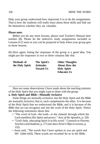Help your group understand how important it is to do the assignments. That is how the students will really learn about these skills and find out for themselves whether they are valuable.

## **Please note:**

Before you do any more lessons, please read Teacher's Manual item number (8). Please do the inductive study assignments included in Lessons 6-12 soon so you can be prepared to help when your group gets to those lessons.

(6) Here again, listing the responses of the group is a good idea. You might put the responses in two or three columns like this:

| Methods of      | The Spirit's     | <b>Other Thoughts</b> |
|-----------------|------------------|-----------------------|
| the Holy Spirit | <b>Attitudes</b> | <b>About How the</b>  |
|                 | <b>Toward Us</b> | <b>Holy Spirit</b>    |
|                 |                  | <b>Educates Us</b>    |

**\_\_\_\_\_\_\_\_\_\_\_\_\_\_\_\_\_\_\_\_\_\_\_\_\_\_\_\_\_\_\_\_\_\_\_\_\_\_\_\_\_\_\_\_\_\_\_\_\_\_\_** 

Here are some observations I have made about the teaching ministry of the Holy Spirit that you might want to share with the group:

## **a. Holy Spirit and Bible—Mutually** *In***clusive**

Some things are mutually *ex*clusive, but the Holy Spirit and the Bible are mutually *in*clusive; that is, each complements the other. It is because of the Holy Spirit that we understand the Bible, and it is because of the Bible that we can recognize and test the work of the Holy Spirit. Notice the following statements about this:

- "The word of God—the truth—is the channel through which the Lord manifests His Spirit and power." *Acts of the Apostles,* p. 520.
- "God's holy, educating Spirit is in His word." *Counsels to Parents, Teachers and Students,* p. 171 (see also *Christ's Object Lessons,* p. 132).
- Jesus said, "The words that I have spoken to you are spirit and life" (John 6:63). These words are recorded for us in the Bible.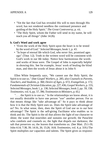### APPENDIX A 129

- "Yet the fact that God has revealed His will to men through His word, has not rendered needless the continued presence and guiding of the Holy Spirit." *The Great Controversy,* p. vii.
- "The Holy Spirit, whom the Father will send in my name, he will teach you all things" (John 14:26).

## **b. God's Word and work agree**

- "Even the work of the Holy Spirit upon the heart is to be tested by the word of God." *Selected Messages,* book 1, p. 43.
- "In hope of eternal life which God, *who never lies,* promised ages ago" (Titus 1:2). Truth in the written word will be consistent with God's work in our life today. Notice how harmonious the words and works of Jesus were. The Gospel of John is especially helpful in showing this. See for example, Jesus' work of healing the blind man, and then the words of Jesus about it in John 9.

Ellen White frequently says, "We cannot use the Holy Spirit; the Spirit is to use us." (See *Gospel Workers,* p. 285; also *Counsels to Parents, Teachers, and Students,* p. 360; *Desire of Ages,* p. 672; *Evangelism,* p. 172; *Fundamentals of Christian Education,* pp. 227, 436; *Gospel Workers,* p. 155; *Selected Messages,* book 1, p. 130; *Selected Messages,* book 2, pp. 59, 158; *Testimonies,* vol. 6, pp. 57, 396; *Testimonies to Ministers,* p. 65.)

". . . the Spirit is to use us." In the relationships we know about, it is not usually desirable to have one person "use" another person. For us that means things like "take advantage of." So it pays to think about how it is that the Holy Spirit uses us. Does the Spirit take advantage of us? No. In what sense, then, does the Spirit of God use us to *our* best advantage? The Spirit is the self-giving Facilitator who enables us to think and do. The Spirit is the oil that allows the light of our character to shine; the water that nourishes and sustains our growth; the Paraclete who comforts and counsels us; the light that dispels our darkness; the salt that preserves us; the leaven that transforms us. (See Matt. 25:1-19; John 4:14; 7:38, 39; 14:16, 26; 15:26; 16:8; *Testimonies,* vol. 4, p. 319.) The Spirit multiplies *our* capacities and talents. The Spirit gives us responsi-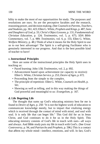bility to make the most of our opportunities for study. The purposes and resolutions are ours. So are the perceptive faculties and the research, reasoning power, and decision making. (See *Counsels to Parents, Teachers, and Students,* pp. 361, 423; Ellen G. White, *Prophets and Kings,* p. 487; *Sons and Daughters of God,* p. 33; *Christ's Object Lessons,* p. 131; *Fundamentals of Christian Education,* p. 124; *Testimonies,* vol. 5, p. 675; *SDA Bible Commentary,* vol. 7, p. 989; *Testimonies,* vol. 6, p. 155; Ellen G. White, *Welfare Ministry,* p. 48.) Think of what it means for the Holy Spirit to use us to our best advantage! The Spirit is a self-giving Facilitator who is genuinely interested in our progress. And that is the best possible kind of teacher to have!

## **c. Instructional Principles**

Here are some of the instructional principles the Holy Spirit uses in teaching us:

- Paced learning: John 1:50; *Testimonies,* vol. 2, p. 692.
- Advancement based upon achievement (or capacity to receive): Ellen G. White, *Christian Service,* p. 253; *Desire of Ages,* p. 672.
- Proceeding from the simple to the complex.
- The principle of repetition: Ellen G. White, *Counsels on Health,* p. 561.
- Showing as well as telling, and in this way making the things of God powerful and meaningful to us: *Evangelism,* p. 167.

## **d. Life Begetting Life**

The thought that sums up God's educating ministry best for me is found in *Desire of Ages,* p. 250: "It is not the highest work of education to communicate knowledge merely, but to impart that vitalizing energy which is received through the contact of mind with mind, and soul with soul. It is only life that can beget life." This God did for us in Jesus Christ, and God continues to do it for us in the Holy Spirit. This educating ministry consists of God's life in touch with ours—all ways and always. And Bible study puts my life in touch with God's. (See *Great Controversy,* p. 94, and *Patriarchs and Prophets,* p. 596.) This is a contact that affects my whole mind—intellect, emotions, and will. In fact, God's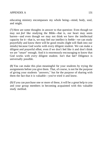## APPENDIX A 131

educating ministry encompasses my whole being—mind, body, soul, and might.

(7) Here are some thoughts in answer to that question: Even though we may not *feel* like studying the Bible—that is, our heart may seem barren—and even though we may not think we have the intellectual capacity for it—that is, we may feel our intellect is feeble—we can study prayerfully and know there will be good results (light will flash into our minds) because God works with every diligent student. We can make a diligent and prayerful effort, even if we don't feel like it and don't think we are "smart" enough. And it is enormously encouraging to know that God works with *every* diligent student. Isn't that fair? Diligence is universally possible.

(8) You can make this plan meaningful for your students by trying the assignments before you give them. That, of course, is not for the purpose of giving your students "answers," but for the purpose of sharing with them the fact that it is valuable—you've tried it and know.

(9) If you can purchase one or more of these, it will be a great help to you and your group members in becoming acquainted with this valuable study method.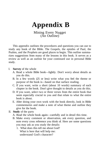# **Appendix B**

Mining Every Nugget (An Outline)

This appendix outlines the procedures and questions you can use to study any book of the Bible. The Gospels, the epistles of Paul, the Psalms, and the Prophets are good places to begin. This outline summarizes suggestions from many of the lessons in this book. It serves as a review as well as an outline for your continued use in personal Bible study.

- I. **Survey** of the whole
	- A. Read a whole Bible book—lightly. Don't worry about details as you do this.
	- B. In a few words (25 or less) write what you feel the theme or purpose of the book is—based on that surface reading.
	- C. If you want, write a short (about 10 words) summary of each chapter in the book. Don't give thought to details as you do this.
	- D. If you want, select two or three verses from the entire book that seem especially crucial to you and that relate to what the entire book is about.
	- E. After doing your own work with the book directly, look in Bible commentaries and make a note of what theme and outline they give for the book.
- II. **Study** of the parts
	- A. Read the whole book again—carefully and in detail this time.
	- B. Make every comment or observation, ask every question, and note every cross reference you think of. Here are some questions you may ask as you study the details:
		- 1. What does this tell me about God? What is here that will help me: understand God's character?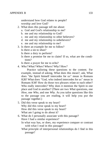understand how God relates to people? worship and love God?

- 2. What does this passage tell me about:
	- a. God and God's relationship to me?
	- b. me and my relationship to God?
	- c. me and my relationship to other believers?
	- d. me and my relationship to unbelievers?
	- e. me and my relationship to me?
- 3. Is there an example for me to follow?
	- Is there a sin to shun?
	- Is there a duty to perform?
	- Is there a promise for me to claim? If so, what are the conditions?
	- Is there a prayer for me to echo?
- 4. *Who? What? When? Where? Why? How?*

Practice tailoring these questions to the content. For example, instead of asking, What does this mean?, ask, What does "the Spirit himself intercedes for us" mean in Romans 8:26? What does "God, who indeed intercedes for us" mean in Romans 8:34? How do those two phrases relate to each other? Who really intercedes? Why does it mention the Spirit in one place and God in another? (There are two *What* questions, one *How,* one *Who,* and one *Why.* As you tailor questions like this to the passage you are reading, it will help you put the passage together.)

- 5. Did this verse speak to my heart? Why did this verse speak to my heart? How did this verse speak to my heart? What am I going to do about it?
- 6. What do I personally associate with this passage? Have I had a similar experience? In what way has, or does, my experience compare or contrast with what I read in this passage?
	- What principle of interpersonal relationships do I find in this passage?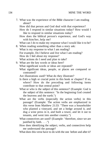7. What was the experience of the Bible character I am reading about?

How did that person and God deal with that experience?

- How do I respond in similar situations today? How would I like to respond in similar situations today?
- How does the biblical person's experience, and God's way with him/her, help me?
- What can I do to make my response what I would like it to be?
- 8. When reading something other than a story ask: What is my response to what I am reading? For example, Do I believe and live what I am reading? How do I feel about my response? What actions do I need and plan to take?
- 9. What are the key words or ideas here? What significant words or ideas are repeated? What significant ideas, people, or places are compared or contrasted?
	- Are illustrations used? What do they illustrate?
	- Is there a high or crucial point in this book or chapter? If so, where? How do the preceding and following items contribute to that central point?
	- What or who is the subject of this sentence? (Example: God is the subject of this sentence: "In the beginning God created the heavens and the earth.")
	- What are the verbs (especially the action verbs) in this passage? (Example: The action verbs are emphasized in this verse from Matthew 21:33: "There was a householder who planted a vineyard, and set a hedge around it, and dug a wine press in it, and built a tower, and let it out to tenants, and went into another country.")
	- What connectives are used? (Example: "therefore, since we are justified by faith. . . .")
	- How does identifying the subject, verbs, and connectives help me understand the passage?
	- What does this verse have to do with the one before and after it?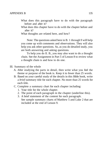- What does this paragraph have to do with the paragraph before and after it?
- What does this chapter have to do with the chapter before and after it?
- What thoughts are related here, and how?

Note: The questions asked here in B. 1 through 9 will help you come up with comments and observations. They will also help you ask other questions. So, as you do detailed study, you are both answering and asking questions.

To help you do II. B., you may also want to do a thought chain. See the Assignment in Part 5 of Lesson 8 to review what a thought chain is and how to do one.

- III. Summary of the whole
	- A. After studying the parts in detail, then write what you feel the theme or purpose of the book is. Keep it to fewer than 25 words.
	- B. Based on your careful study of the details in this Bible book, write a *brief* summary title for each chapter. No more than 25 words for each title.
	- C. Complete a summary chart for each chapter including:
		- 1. Your title for the whole chapter.
		- 2. The point of each paragraph in the chapter (underline this).
		- 3. A brief statement of the content for each paragraph. See sample summary charts of Matthew 5 and Luke 2 that are included at the end of Lesson 9.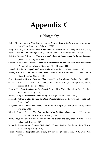## **Appendix C**

## Bibliography

- Adler, Mortimer J., and Van Doren, Charles. *How to Read a Book,* rev. and updated ed. (New York: Simon and Schuster, 1972)
- Baughman, Ray E. *Creative Bible Study Methods.* (Mesquite, Tex: Shepherd Press, n.d.)
- Boice, James M. *The Sovereign God.* (Downers Grove: InterVarsity Press, 1978)
- Buttrick, George Arthur, ed. *The Interpreter's Bible: A Commentary in Twelve Volumes.*  (New York: Abingdon Press, 1952)
- Cruden, Alexander. *Cruden's Complete Concordance to the Old and New Testaments.*  (Philadelphia: Universal Book and Bible House, 1949)
- Drakeford, John W. *Experiential Bible Study.* (Nashville: Broadman Press, 1974)
- Flesch, Rudolph. *The Art of Plain Talk.* (New York: Collier Books, A Division of Macmillan Pub. Co., Inc., 1951)
- Grant, Frederick. *How to Read the Bible.* (New York: Morehouse-Gorham Co., 1956)
- Grove, J. Paul. (Dean, School of Theology, Walla Walla College, College Place, Wash.; outline of the book of Matthew)
- Harvey, Van A. *A Handbook of Theological Terms.* (New York: Macmillan Pub. Co., Inc., 1964; fifth printing 1974)
- Jensen, Irving L. *Independent Bible Study.* (Chicago: Moody Press, 1963)
- Maxwell, Arthur S. *How to Read the Bible.* (Washington, D.C.: Review and Herald Pub. Assn., 1960)
- *Navigator Bible Studies Handbook, The* (Colorado Springs: Navpress, 1974; fourth printing, 1980)
- Nichol, Francis D., ed. *The Seventh-day Adventist Bible Commentary.* (Washington, D.C.: Review and Herald Publishing Assn., 1955)
- Perry, Lloyd M., and Culver, Robert D. *How to Search the Scriptures.* (Grand Rapids: Baker Book House, 1967)
- Richards, Lawrence O. *Creative Bible Study.* (Grand Rapids: Zondervan Pub. House, 1971. Ninth printing, 1978)
- Smith, Wilbur M. Profitable Bible Study, 2<sup>nd</sup> rev. ed. (Natick, Mass.: WA. Wilde Co., 1963)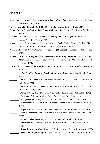### APPENDIX C 137

- Strong, James. *Strong's Exhaustive Concordance of the Bible.* (Nashville: Crusade Bible Publishers, Inc., n.d.)
- Torrey, R. A. *How to Study the Bible.* (New York: Fleming H. Revell Co., 1896)
- Traina, Robert A. *Methodical Bible Study.* (Wilmore, Ky.: Asbury Theological Seminary, 1952)
- Van Dolson, Leo R. *How to Get the Most Out of Bible Study.* (Mountain View, Calif.: Pacific Press Pub. Assn., 1980)
- Veverka, Larry E. (assistant professor of theology, Walla Walla College, College Place, Wash.; sample of motivational and relational Bible study)
- Wald, Oletta. *The Joy of Discovery,* revised ed. (Minneapolis: Augsburg Pub. House, 1975)
- Walker, J. B. R. *The Comprehensive Concordance to the Holy Scriptures.* (New York: The Macmillan Co., 1929; reissued by the Macmillan Co., October, 1936. Tenth printing, 1951)
- White, Ellen G. *Acts of the Apostles, The.* (Mountain View, Calif.: Pacific Press Pub. Assn., 1911)
	- . *Christ's Object Lessons.* (Washington, D.C.: Review and Herald Pub. Assn., 1941)
- \_\_\_\_\_\_\_ . *Counsels on Sabbath School Work.* (Washington, D.C.: Review and Herald Pub. Assn., 1938)
- \_\_\_\_\_\_\_ . *Counsels to Parents, Teachers, and Students.* (Mountain View, Calif.: Pacific Press Pub. Assn., 1943)
- . *Desire of Ages, The.* (Mountain View, Calif.: Pacific Press Pub. Assn., 1940)
- . *Education.* (Mountain View, Calif.: Pacific Press Pub. Assn., 1952)
- . *Evangelism.* (Washington, D.C.: Review and Herald Pub. Assn., 1946)
- . *Fundamentals of Christian Education.* (Nashville: Southern Pub. Assn., 1923)
- \_\_\_\_\_\_\_ . *Gospel Workers.* (Washington, D.C.: Review and Herald Pub. Assn., 1915)
	- \_\_\_\_\_\_\_ . *Great Controversy, The.* (Mountain View, Calif.: Pacific Press Pub. Assn., 1950)
- . *My Life Today.* (Washington, D.C.: Review and Herald Pub. Assn., 1952)
	- . *Patriarchs and Prophets.* (Mountain View, Calif.: Pacific Press Pub. Assn., 1958)
- . *Selected Messages.* (Washington, D.C.: Review and Herald Pub. Assn., 1958) . *Sons and Daughters of God.* (Washington, D.C.: Review and Herald Pub.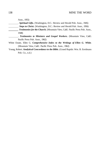Assn., 1955)

- . *Spiritual Gifts.* (Washington, D.C.: Review and Herald Pub. Assn., 1945)
- . *Steps to Christ.* (Washington, D.C.: Review and Herald Pub. Assn., 1956)
	- . *Testimonies for the Church.* (Mountain View, Calif.: Pacific Press Pub. Assn., 1948)
- . *Testimonies to Ministers and Gospel Workers.* (Mountain View, Calif.: Pacific Press Pub. Assn., 1962)
- White Estate, Ellen G. *Comprehensive Index to the Writings of Ellen G. White.*  (Mountain View, Calif.: Pacific Press Pub. Assn., 1962)
- Young, Robert. *Analytical Concordance to the Bible.* (Grand Rapids: Wm. B. Eerdmans Pub. Co., n.d.)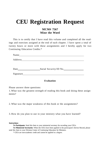## **CEU Registration Request**

## **MCM# 7567 Mine the Word**

This is to certify that I have read this volume and completed all the readings and exercises assigned at the end of each chapter. I have spent a total of twenty hours or more with these assignments and I hereby apply for two Continuing Education Credits.\*

| Name    |                        |  |
|---------|------------------------|--|
| Address |                        |  |
|         |                        |  |
| Date    | Social Security/ID No. |  |

Signature

#### **Evaluation**

Please answer three questions:

1. What was the greatest strength of reading this book and doing these assignments?

2. What was the major weakness of this book or the assignments?

3. How do you plan to use in your ministry what you have learned?

#### **Instructions:**

**To Participants:** Send this form to your ministerial secretary for recording your CEUs.

**To Ministerial Secretaries:** When the CEUs have been applied to the participant's Service Record, please send this form to your Division Center of Continuing Education for Ministers.

\* CEUs are non-academic credit and cannot be applied to a degree.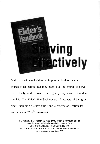

God has designated elders as important leaders in this church organization. But they must love the church to serve it effectively, and to love it intelligently they must first understand it. The *Elder's Handbook* covers all aspects of being an elder, including a study guide and a discussion section for each chapter. <sup>US</sup> \$7<sup>95</sup> (softcover)

> **Send check, money order, or credit card number & expiration date to:**  General Conference Ministerial Association, Resource Center 12501 Old Columbia Pike • Silver Spring, MD 20904 Phone: 301-680-6508 • Fax: 301-680-6502 • [www.ministerialassociation.com](http://www.ministerialassociation.com) Also available at your local ABC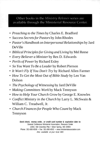Other books in the Ministry Releases series are available through the Ministerial Resource Center.

- • *Preaching to the Times* by Charles E. Bradford
- • *Success Secrets for Pastors* by John Rhodes
- • *Pastor's Handbook on Interpersonal Relationships* by Jard DeVille
- • *Biblical Principles for Giving and Living* by Mel Reese
- • *Every Believer a Minister* by Rex D. Edwards
- • *Perils of Power* by Richard Exley
- • *So You Want To Be a Leader* by Robert Pierson
- • *It Won't Fly If You Don't Try* by Richard Allen Farmer
- • *How To Get the Most Out of Bible Study* by Leo Van Dolson
- • *The Psychology of Witnessing* by Jard DeVille
- • *Making Committees Work* by Mack Tennyson
- • *How to Help Your Church Grow* by George E. Knowles
- • *Conflict Ministry in the Church* by Larry L. McSwain & William C. Treadwell, Jr.
- • *Church Finances for People Who Count* by Mack Tennyson

**Send check, money order, or credit card number & expiration date to:**  General Conference Ministerial Association, Resource Center 12501 Old Columbia Pike • Silver Spring, MD 20904 Phone: 301-680-6508 • Fax: 301-680-6502 • [www.ministerialassociation.com](http://www.ministerialassociation.com) Also available at your local ABC